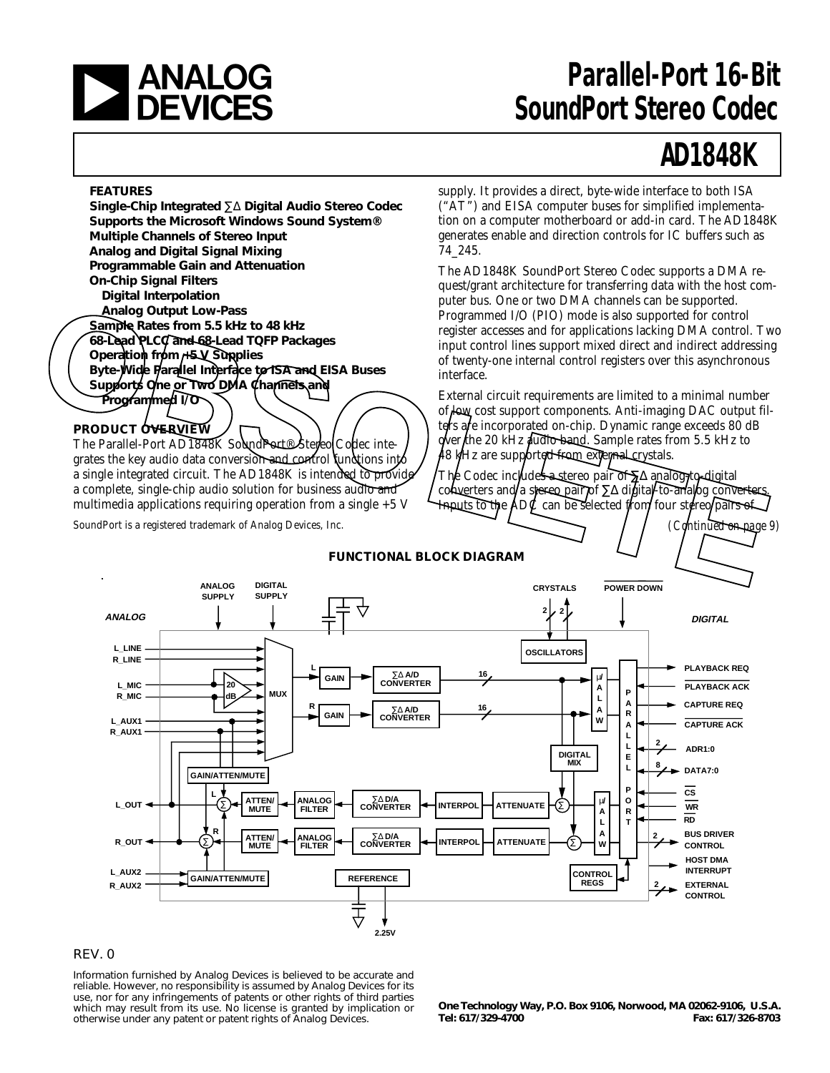

# **a Parallel-Port 16-Bit**<br> **DEVICES** SoundPort Stereo Codec **SoundPort Stereo Codec**

# **AD1848K**

*(Continued on page 9)*

#### **FEATURES**

**Single-Chip Integrated** ∑∆ **Digital Audio Stereo Codec Supports the Microsoft Windows Sound System® Multiple Channels of Stereo Input Analog and Digital Signal Mixing Programmable Gain and Attenuation On-Chip Signal Filters Digital Interpolation Analog Output Low-Pass Sample Rates from 5.5 kHz to 48 kHz 68-Lead PLCC and 68-Lead TQFP Packages** Operation from F5 V Supplies **Byte-Wide Parallel Interface to ISA and EISA Buses** Supports One or Two DMA Channels and **Programmed I/O** Analog Output Low-Pass<br>
Frogrammed IO (PIO) mode is also supported for control<br>
Control Tow-Back atom S.5 kHz to 48 kHz<br>
(See-Wide Parallel Injeright and The Teaks and the support mixed direct and indirect addressing<br>
Depe

#### **PRODUCT OVERVIEW**

The Parallel-Port AD1848K SoundPort<sup>®</sup> Stereo Codec integrates the key audio data conversion and control functions into a single integrated circuit. The AD1848K is intended to provide a complete, single-chip audio solution for business audio and multimedia applications requiring operation from a single  $+5$  V

SoundPort is a registered trademark of Analog Devices, Inc.

supply. It provides a direct, byte-wide interface to both ISA ("AT") and EISA computer buses for simplified implementation on a computer motherboard or add-in card. The AD1848K generates enable and direction controls for IC buffers such as 74\_245.

The AD1848K SoundPort Stereo Codec supports a DMA request/grant architecture for transferring data with the host computer bus. One or two DMA channels can be supported. Programmed I/O (PIO) mode is also supported for control register accesses and for applications lacking DMA control. Two input control lines support mixed direct and indirect addressing of twenty-one internal control registers over this asynchronous interface.

External circuit requirements are limited to a minimal number of low cost support components. Anti-imaging DAC output filters are incorporated on-chip. Dynamic range exceeds 80 dB over the 20 kHz audio band. Sample rates from 5.5 kHz to 48 kHz are supported from external crystals.

The Codec includes a stereo pair of ∑∆ analog-to-digital converters and/a stereo pair/of ∑∆ digital-to-analog converters, Imputs to the  $AD\ell$  can be selected from four stereo/pairs of



#### REV. 0

Information furnished by Analog Devices is believed to be accurate and reliable. However, no responsibility is assumed by Analog Devices for its use, nor for any infringements of patents or other rights of third parties which may result from its use. No license is granted by implication or otherwise under any patent or patent rights of Analog Devices.

**One Technology Way, P.O. Box 9106, Norwood, MA 02062-9106, U.S.A. Tel: 617/329-4700 Fax: 617/326-8703**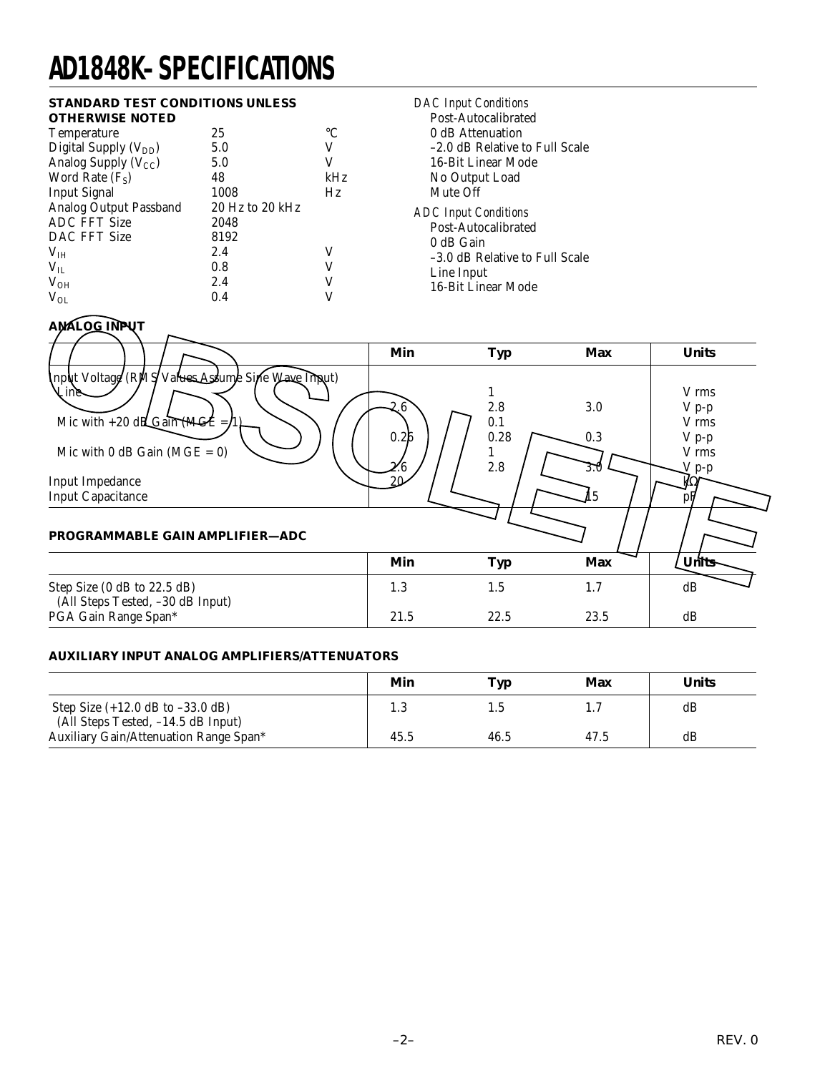# **AD1848K–SPECIFICATIONS**

#### **STANDARD TEST CONDITIONS UNLESS OTHERWISE NOTED**

| ,,,,,,,,,,,,,,,,,,,,,,           |                 |     |
|----------------------------------|-----------------|-----|
| Temperature                      | 25              | °C  |
| Digital Supply $(V_{DD})$        | 5.0             | V   |
| Analog Supply (V <sub>CC</sub> ) | 5.0             | V   |
| Word Rate $(F_S)$                | 48              | kHz |
| <b>Input Signal</b>              | 1008            | Hz  |
| Analog Output Passband           | 20 Hz to 20 kHz |     |
| <b>ADC FFT Size</b>              | 2048            |     |
| DAC FFT Size                     | 8192            |     |
| V <sub>IH</sub>                  | 2.4             | V   |
| $V_{IL}$                         | 0.8             |     |
| $V_{OH}$                         | 2.4             | V   |
| $V_{OL}$                         | 0.4             |     |
|                                  |                 |     |

*DAC Input Conditions* Post-Autocalibrated 0 dB Attenuation –2.0 dB Relative to Full Scale 16-Bit Linear Mode No Output Load Mute Off *ADC Input Conditions* Post-Autocalibrated 0 dB Gain –3.0 dB Relative to Full Scale Line Input 16-Bit Linear Mode

#### **ANALOG INPUT Min Typ Max Units** Input Voltage (RMS Values Assume Sine Wave Input)  $\sum_{i=1}^{\infty}$   $\sum_{i=1}^{\infty}$   $\sum_{i=1}^{\infty}$   $\sum_{i=1}^{\infty}$   $\sum_{i=1}^{\infty}$   $\sum_{i=1}^{\infty}$   $\sum_{i=1}^{\infty}$   $\sum_{i=1}^{\infty}$   $\sum_{i=1}^{\infty}$   $\sum_{i=1}^{\infty}$   $\sum_{i=1}^{\infty}$   $\sum_{i=1}^{\infty}$   $\sum_{i=1}^{\infty}$   $\sum_{i=1}^{\infty}$   $\sum_{i=1}^{\in$  $2.6 \searrow 2.8$  3.0 V p-p Mic with +20 dB Gain (MGE = 1)  $\rightarrow$   $\rightarrow$   $\rightarrow$   $\rightarrow$   $\rightarrow$   $\rightarrow$   $\rightarrow$  0.1  $0.26$  | | | 0.28 |  $0.3$  | V p-p Mic with 0 dB Gain (MGE = 0) 2.6 /  $/$  / 2.8 /  $\angle$  3.0  $\diagdown$   $\diagup$  p-p Input Impedance<br>
Input Capacitance<br>  $\frac{20}{2}$   $\frac{20}{2}$   $\frac{1}{20}$   $\frac{1}{15}$   $\frac{1}{15}$ Input Capacitance **PROGRAMMABLE GAIN AMPLIFIER—ADC Min Typ Max Units** Step Size (0 dB to 22.5 dB) 1.3 1.5 1.7 dB (All Steps Tested, –30 dB Input) PGA Gain Range Span\* 21.5 22.5 23.5 dB **EXALGE CRASS Values Assume Since Wave Impute 1.0**<br>
Min Typ Max Units<br>
Mic with +20 dBC cain (MCE = 0)<br>
Mic with 0 dB Gain (MCE = 0)<br>
Mic with 0 dB Gain (MCE = 0)<br>
The Mic with 0 dB Gain (MCE = 0)<br>
The Min Typ Max<br>
PROGRA

#### **AUXILIARY INPUT ANALOG AMPLIFIERS/ATTENUATORS**

|                                                                            | Min  | Typ  | Max  | <b>Units</b> |
|----------------------------------------------------------------------------|------|------|------|--------------|
| Step Size $(+12.0$ dB to $-33.0$ dB)<br>(All Steps Tested, -14.5 dB Input) | 1.3  |      |      | dB           |
| Auxiliary Gain/Attenuation Range Span*                                     | 45.5 | 46.5 | 47.5 | dB           |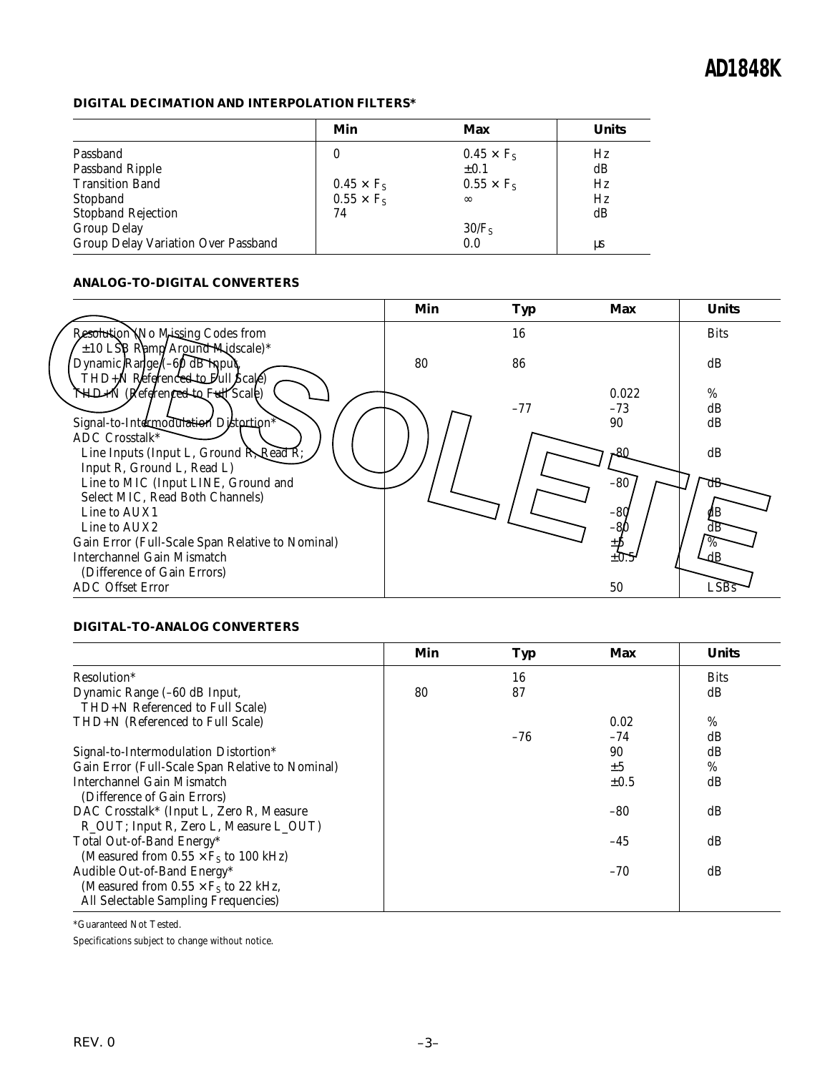#### **DIGITAL DECIMATION AND INTERPOLATION FILTERS\***

|                                     | Min               | Max               | <b>Units</b> |
|-------------------------------------|-------------------|-------------------|--------------|
| Passband                            | 0                 | $0.45 \times F_s$ | Hz           |
| <b>Passband Ripple</b>              |                   | $\pm 0.1$         | dB           |
| <b>Transition Band</b>              | $0.45 \times F_S$ | $0.55 \times F_s$ | Hz           |
| Stopband                            | $0.55 \times F_s$ | $\infty$          | Hz           |
| <b>Stopband Rejection</b>           | 74                |                   | dB           |
| <b>Group Delay</b>                  |                   | 30/F <sub>S</sub> |              |
| Group Delay Variation Over Passband |                   | 0.0               | μs           |

#### **ANALOG-TO-DIGITAL CONVERTERS**

|                                                                                                                | Min | <b>Typ</b> | Max          | <b>Units</b> |
|----------------------------------------------------------------------------------------------------------------|-----|------------|--------------|--------------|
| Resolution No Missing Codes from                                                                               |     | 16         |              | <b>Bits</b>  |
| ±10 LSB Ramp/Around Midscale)*<br>Dynamic Range (-60 dB Input)<br>THD+N Reference <del>d to F</del> ull Scale) | 80  | 86         |              | dB           |
| <b>THD-N</b> (Referenced to Full Scale)                                                                        |     |            | 0.022        | $\%$         |
|                                                                                                                |     | $-77$      | $-73$        | dB           |
| Signal-to-Intermodulation Distertion*                                                                          |     |            | 90           | dB           |
| ADC Crosstalk*<br>Line Inputs (Input L, Ground R, Read R;                                                      |     |            | F86          | dB           |
| Input R, Ground L, Read L)<br>Line to MIC (Input LINE, Ground and                                              |     |            | $-80$        | dB           |
| Select MIC, Read Both Channels)                                                                                |     |            |              |              |
| Line to AUX1                                                                                                   |     |            |              |              |
| Line to AUX2                                                                                                   |     |            | $-80$<br>-81 | dB           |
|                                                                                                                |     |            |              | $\%$         |
| Gain Error (Full-Scale Span Relative to Nominal)                                                               |     |            |              |              |
| <b>Interchannel Gain Mismatch</b>                                                                              |     |            | $\pm 0$      |              |
| (Difference of Gain Errors)                                                                                    |     |            |              |              |
| <b>ADC</b> Offset Error                                                                                        |     |            | 50           |              |

#### **DIGITAL-TO-ANALOG CONVERTERS**

|                                                                                     | Min | Typ   | <b>Max</b> | <b>Units</b> |
|-------------------------------------------------------------------------------------|-----|-------|------------|--------------|
| Resolution*                                                                         |     | 16    |            | <b>Bits</b>  |
| Dynamic Range (-60 dB Input,<br>THD+N Referenced to Full Scale)                     | 80  | 87    |            | dB           |
| THD+N (Referenced to Full Scale)                                                    |     |       | 0.02       | %            |
|                                                                                     |     | $-76$ | $-74$      | dB           |
| Signal-to-Intermodulation Distortion*                                               |     |       | 90         | dB           |
| Gain Error (Full-Scale Span Relative to Nominal)                                    |     |       | ±5         | %            |
| Interchannel Gain Mismatch<br>(Difference of Gain Errors)                           |     |       | $\pm 0.5$  | dB           |
| DAC Crosstalk* (Input L, Zero R, Measure                                            |     |       | $-80$      | dB           |
| R_OUT; Input R, Zero L, Measure L_OUT)<br>Total Out-of-Band Energy*                 |     |       | $-45$      | dB           |
| (Measured from $0.55 \times F_s$ to 100 kHz)<br>Audible Out-of-Band Energy*         |     |       | $-70$      | dB           |
| (Measured from $0.55 \times F_s$ to 22 kHz,<br>All Selectable Sampling Frequencies) |     |       |            |              |

\*Guaranteed Not Tested.

Specifications subject to change without notice.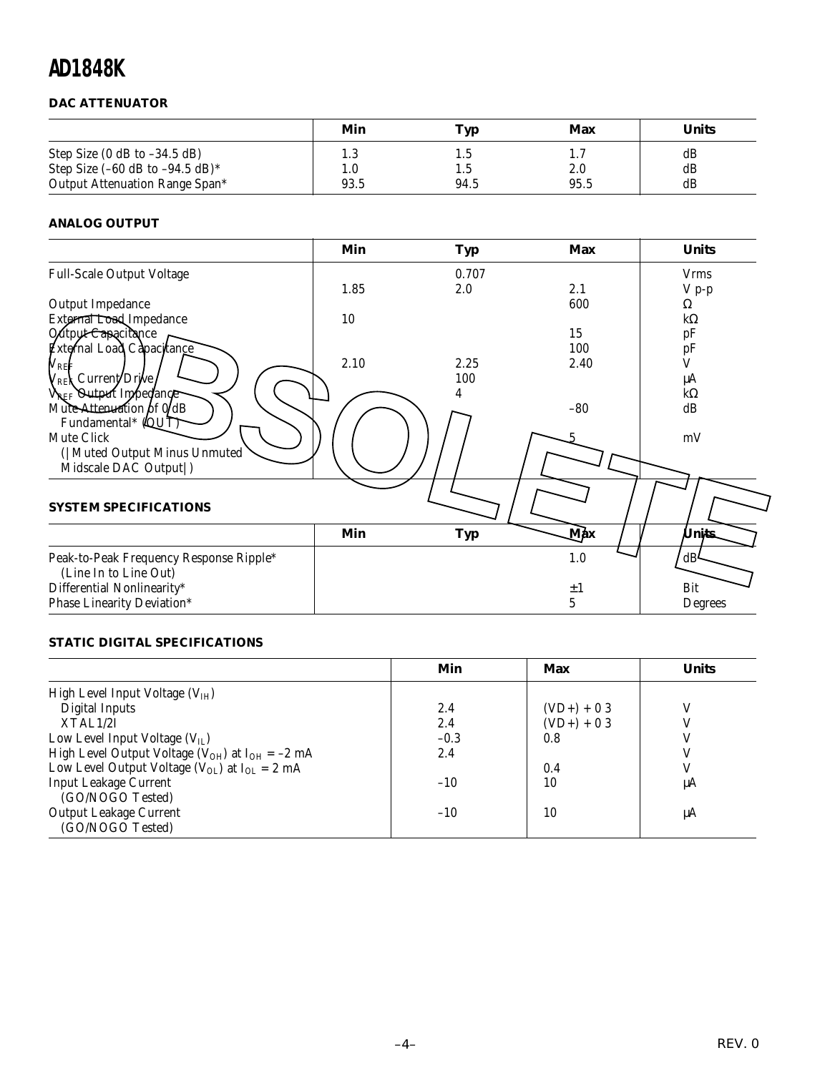#### **DAC ATTENUATOR**

|                                                                         | Min        | Typ        | Max        | <b>Units</b> |
|-------------------------------------------------------------------------|------------|------------|------------|--------------|
| Step Size $(0$ dB to $-34.5$ dB)<br>Step Size $(-60$ dB to $-94.5$ dB)* | 1.3<br>1.0 | L.5<br>t.5 | 1.7<br>2.0 | dB<br>dB     |
| Output Attenuation Range Span*                                          | 93.5       | 94.5       | 95.5       | dB           |

#### **ANALOG OUTPUT**

|                                         | Min  | <b>Typ</b> | <b>Max</b> | <b>Units</b> |
|-----------------------------------------|------|------------|------------|--------------|
| <b>Full-Scale Output Voltage</b>        |      | 0.707      |            | <b>Vrms</b>  |
|                                         | 1.85 | 2.0        | 2.1        | $V p-p$      |
| Output Impedance                        |      |            | 600        | Ω            |
| External Load Impedance                 | 10   |            |            | $k\Omega$    |
| Output Capacitance                      |      |            | 15         | pF           |
| External Load Capacitance               |      |            | 100        | pF<br>V      |
| $V_{\rm{REF}}$                          | 2.10 | 2.25       | 2.40       |              |
| <sub>/REX</sub> Current/Drive           |      | 100        |            | μA           |
| VREF Output Inpedance                   |      |            |            | $k\Omega$    |
| Mute Attenuation of $0/dB$              |      |            | $-80$      | dB           |
| Fundamental* (QUT)                      |      |            |            |              |
| Mute Click                              |      |            |            | mV           |
| ( Muted Output Minus Unmuted            |      |            |            |              |
| Midscale DAC Output  )                  |      |            |            |              |
|                                         |      |            |            |              |
| <b>SYSTEM SPECIFICATIONS</b>            |      |            |            |              |
|                                         |      |            |            |              |
|                                         | Min  | <b>Typ</b> | Max        | Units        |
| Peak-to-Peak Frequency Response Ripple* |      |            | 1.0        | dB           |
| (Line In to Line Out)                   |      |            |            |              |
| Differential Nonlinearity*              |      |            | $\pm 1$    | Bit          |
| Phase Linearity Deviation*              |      |            | 5          | Degrees      |

#### **STATIC DIGITAL SPECIFICATIONS**

|                                                                   | Min    | Max          | <b>Units</b> |
|-------------------------------------------------------------------|--------|--------------|--------------|
| High Level Input Voltage $(VIH)$                                  |        |              |              |
| <b>Digital Inputs</b>                                             | 2.4    | $(VD+) + 03$ | V            |
| XTAL1/2I                                                          | 2.4    | $(VD+) + 03$ |              |
| Low Level Input Voltage $(V_{II})$                                | $-0.3$ | 0.8          |              |
| High Level Output Voltage ( $V_{OH}$ ) at I <sub>OH</sub> = -2 mA | 2.4    |              |              |
| Low Level Output Voltage ( $V_{OL}$ ) at $I_{OL} = 2$ mA          |        | 0.4          |              |
| <b>Input Leakage Current</b>                                      | $-10$  | 10           | μA           |
| (GO/NOGO Tested)                                                  |        |              |              |
| <b>Output Leakage Current</b>                                     | $-10$  | 10           | μA           |
| (GO/NOGO Tested)                                                  |        |              |              |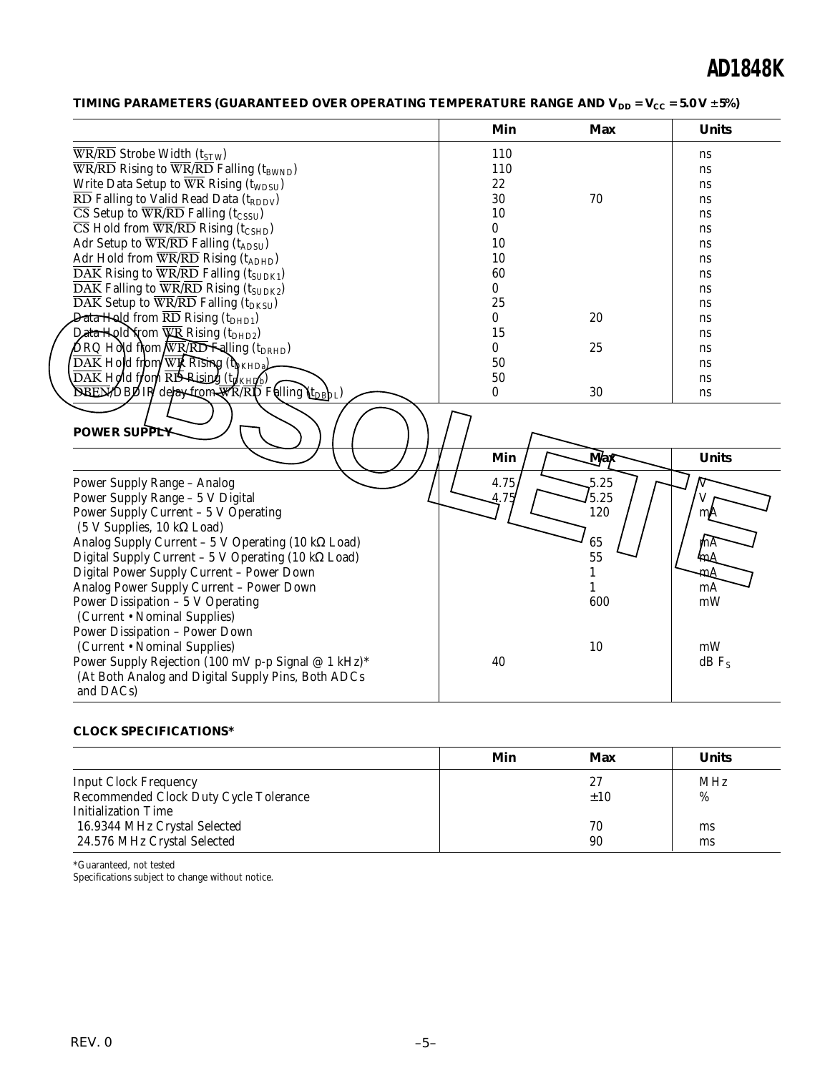| TIMING PARAMETERS (GUARANTEED OVER OPERATING TEMPERATURE RANGE AND V <sub>DD</sub> = V <sub>CC</sub> = 5.0 V ±5%) |  |  |  |
|-------------------------------------------------------------------------------------------------------------------|--|--|--|
|-------------------------------------------------------------------------------------------------------------------|--|--|--|

|                                                                                                               | Min          | <b>Max</b> | <b>Units</b>        |
|---------------------------------------------------------------------------------------------------------------|--------------|------------|---------------------|
| $\overline{\text{WR}/\text{RD}}$ Strobe Width (t <sub>STW</sub> )                                             | 110          |            | ns                  |
| $\overline{\text{WR}}$ /RD Rising to $\overline{\text{WR}}$ /RD Falling (t <sub>BWND</sub> )                  | 110          |            | ns                  |
| Write Data Setup to WR Rising (t <sub>WDSU</sub> )                                                            | 22           |            | ns                  |
| $\overline{\text{RD}}$ Falling to Valid Read Data (t <sub>RDDV</sub> )                                        | 30           | 70         | ns                  |
| $\overline{\text{CS}}$ Setup to $\overline{\text{WR}}$ / $\overline{\text{RD}}$ Falling (t <sub>CSSU</sub> )  | 10           |            | ns                  |
| $\overline{\text{CS}}$ Hold from $\overline{\text{WR}}$ / $\overline{\text{RD}}$ Rising (t <sub>CSHD</sub> )  | $\mathbf{0}$ |            | ns                  |
| Adr Setup to WR/RD Falling (tADSU)                                                                            | 10           |            | ns                  |
| Adr Hold from $\overline{WR}/\overline{RD}$ Rising (t <sub>ADHD</sub> )                                       | 10           |            | ns                  |
| $\overline{\text{DAK}}$ Rising to $\overline{\text{WR}}$ /RD Falling (t <sub>SUDK1</sub> )                    | 60           |            | ns                  |
| DAK Falling to WR/RD Rising (tSUDK2)                                                                          | $\bf{0}$     |            | ns                  |
| $\overline{\text{DAK}}$ Setup to $\overline{\text{WR}}$ / $\overline{\text{RD}}$ Falling (t <sub>DKSU</sub> ) | 25           |            | ns                  |
| <b>Data Hold</b> from $\overline{\text{RD}}$ Rising (t <sub>DHD1</sub> )                                      | $\bf{0}$     | 20         | ns                  |
| Data Hold from WR Rising (tDHD2)                                                                              | 15           |            | ns                  |
| $\bigtriangleup$ RQ Hold from $\overline{\text{W}$ RRID Falling (t <sub>DRHD</sub> )                          | $\bf{0}$     | 25         | ns                  |
| $\overline{\text{DAK}}$ Hold from WR Rising (the $\mu_{\text{BKHD}}$                                          | 50           |            | ns                  |
| $\overline{\text{DAK}}$ Hold trond $\overline{\text{RD}}$ Rising (to $\text{KHilb}$ )                         | 50           |            | ns                  |
| <b>BEEX DBDIR</b> de ay from WRRIN Falling LtpgbL)                                                            | $\bf{0}$     | 30         | ns                  |
| <b>POWER SUPPLY</b>                                                                                           | Min          | <b>Max</b> | <b>Units</b>        |
|                                                                                                               |              |            |                     |
| <b>Power Supply Range - Analog</b>                                                                            | 4.75         | 5.25       |                     |
| Power Supply Range - 5 V Digital                                                                              |              | 5.25       |                     |
| Power Supply Current - 5 V Operating                                                                          |              | 120        | ml                  |
| (5 V Supplies, 10 kΩ Load)                                                                                    |              |            |                     |
| Analog Supply Current - 5 V Operating (10 $k\Omega$ Load)                                                     |              | 65         | rhА                 |
| Digital Supply Current - 5 V Operating (10 kΩ Load)                                                           |              | 55         | 'nΔ                 |
| Digital Power Supply Current - Power Down                                                                     |              | 1          | mА                  |
| Analog Power Supply Current - Power Down                                                                      |              | 1          | mA                  |
| Power Dissipation - 5 V Operating                                                                             |              | 600        | mW                  |
| (Current • Nominal Supplies)                                                                                  |              |            |                     |
| Power Dissipation - Power Down                                                                                |              |            |                     |
| (Current • Nominal Supplies)                                                                                  |              | 10         | mW                  |
| Power Supply Rejection (100 mV p-p Signal @ 1 kHz)*                                                           | 40           |            | $dB$ F <sub>s</sub> |
| (At Both Analog and Digital Supply Pins, Both ADCs                                                            |              |            |                     |
| and DACs)                                                                                                     |              |            |                     |

#### **CLOCK SPECIFICATIONS\***

|                                        | Min | Max | <b>Units</b> |
|----------------------------------------|-----|-----|--------------|
| <b>Input Clock Frequency</b>           |     | 27  | <b>MHz</b>   |
| Recommended Clock Duty Cycle Tolerance |     | ±10 | %            |
| Initialization Time                    |     |     |              |
| 16.9344 MHz Crystal Selected           |     | 70  | ms           |
| 24.576 MHz Crystal Selected            |     | 90  | ms           |

\*Guaranteed, not tested Specifications subject to change without notice.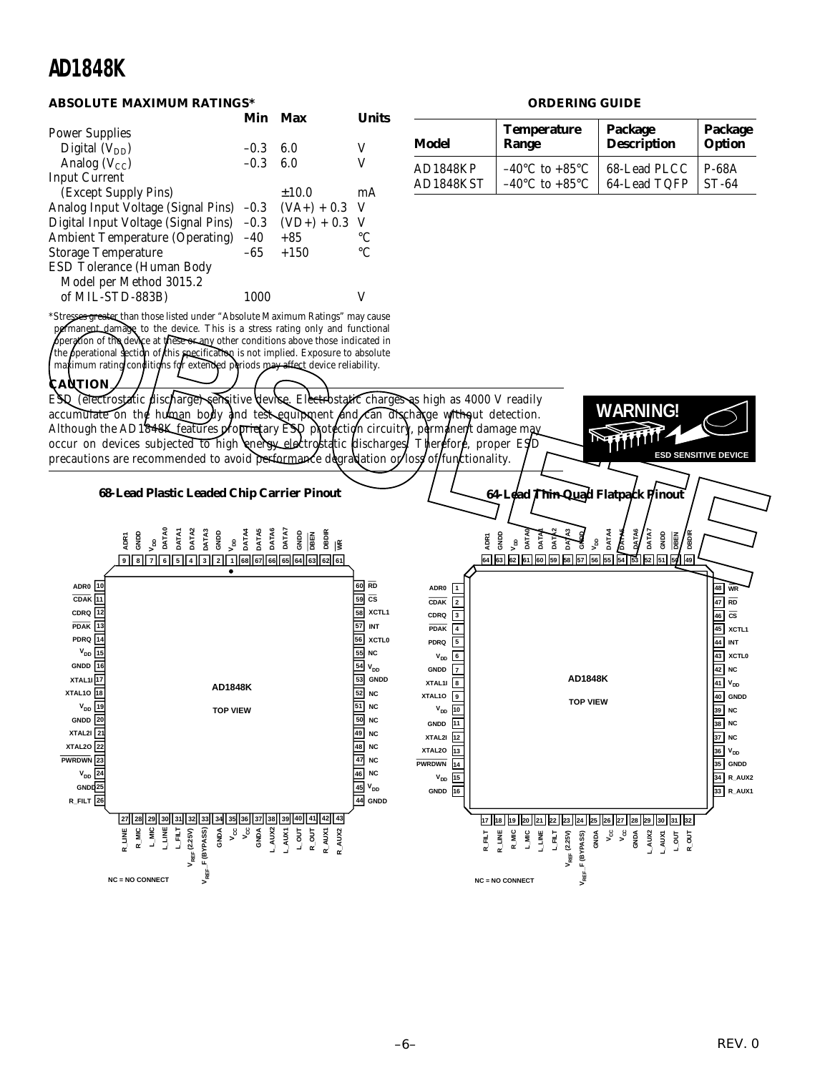#### **ABSOLUTE MAXIMUM RATINGS\***

|                                          | Min    | Max             | l Inite)        |
|------------------------------------------|--------|-----------------|-----------------|
| <b>Power Supplies</b>                    |        |                 |                 |
| Digital $(V_{DD})$                       | $-0.3$ | 6.0             | V               |
| Analog $(V_{CC})$                        | $-0.3$ | 6.0             | V               |
| <b>Input Current</b>                     |        |                 |                 |
| (Except Supply Pins)                     |        | $\pm 10.0$      | mA              |
| Analog Input Voltage (Signal Pins) -0.3  |        | $(VA+) + 0.3$ V |                 |
| Digital Input Voltage (Signal Pins) -0.3 |        | $(VD+) + 0.3$ V |                 |
| <b>Ambient Temperature (Operating)</b>   | $-40$  | $+85$           | $\rm ^{\circ}C$ |
| <b>Storage Temperature</b>               | -65    | $+150$          | $\rm ^{\circ}C$ |
| ESD Tolerance (Human Body                |        |                 |                 |
| Model per Method 3015.2                  |        |                 |                 |
| of MIL-STD-883B)                         | 1000   |                 |                 |
|                                          |        |                 |                 |

\*Stresses greater than those listed under "Absolute Maximum Ratings" may cause permanent damage to the device. This is a stress rating only and functional peration of the device at these or any other conditions above those indicated in the perational section of this specification is not implied. Exposure to absolute maximum rating conditions for extended periods may affect device reliability.

#### **CAUTION**

ESD (electrostatic discharge) sensitive device. Electrostatic charges as high as 4000 V readily accumulate on the human body and test equipment and  $\ell$  an discharge without detection. Although the AD1848K features proprietary ESD protection circuitry, permanent damage may occur on devices subjected to high *energy electrostatic* discharges. Therefore, proper ESD precautions are recommended to avoid performance degradation or lost of functionality.

#### **ORDERING GUIDE**

| Model           | <b>Temperature</b>                 | Package            | Package       |
|-----------------|------------------------------------|--------------------|---------------|
|                 | Range                              | <b>Description</b> | <b>Option</b> |
| <b>AD1848KP</b> | $-40^{\circ}$ C to $+85^{\circ}$ C | 68-Lead PLCC       | <b>P-68A</b>  |
| AD1848KST       | $-40^{\circ}$ C to $+85^{\circ}$ C | 64-Lead TQFP       | $ST-64$       |

**WARNING!**

**ESD SENSITIVE DEVICE**

**68-Lead Plastic Leaded Chip Carrier Pinout 9 8 7 6 5 4 3 2 1 68 67 66 65 64 63 62 61 ADR1 GNDD VDD DATA0 DATA1 DATA2 DATA3 GNDD VDD DATA4 DATA5 DATA6 DATA7 GNDD DBEN DBDIR WR 64-Lead Thin Quad Flatpack Pinout**  $V_{DD}$ **DATA0 DATA1 DATA2 DATA3** も<br>15 **GNDD** Strong greater than those listed under "Absolute Maximum Ratings" may cause<br>
of many and the device. This is a stress rating only and functional<br>
perspection of the device. This is a stress rating only and functional<br>
the

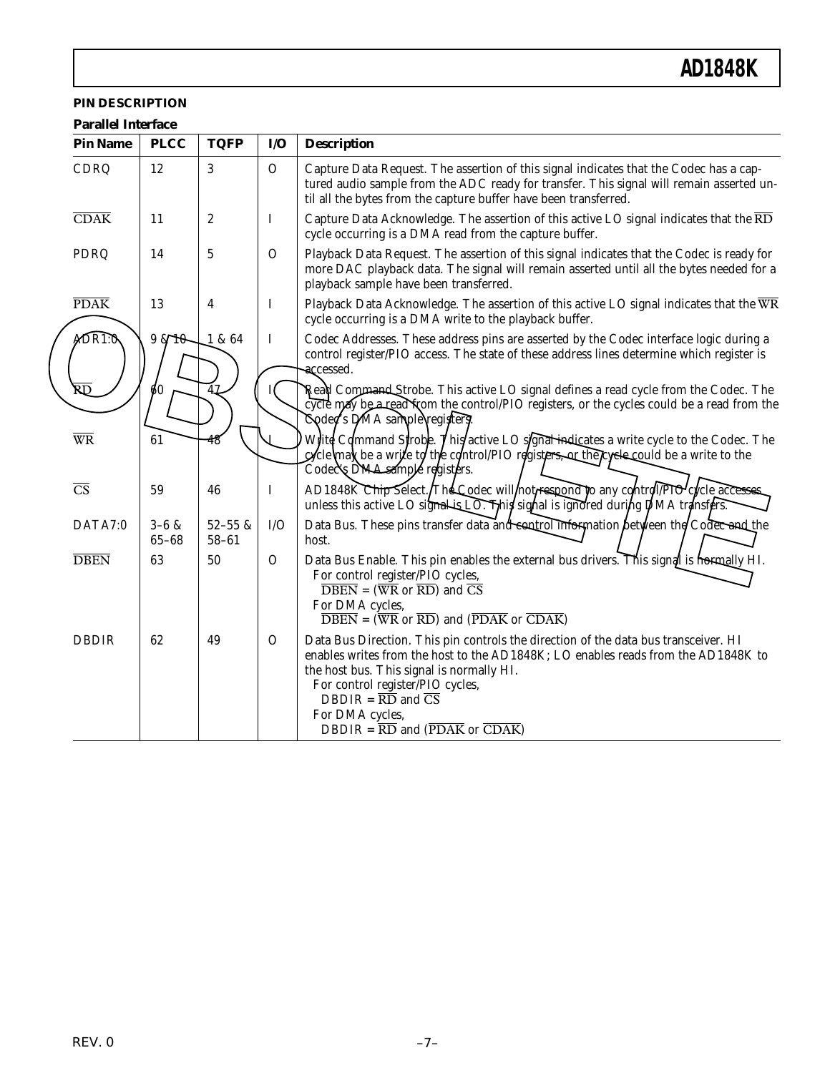#### **PIN DESCRIPTION**

| <b>Parallel Interface</b> |  |  |
|---------------------------|--|--|
|---------------------------|--|--|

| <b>Pin Name</b>                   | <b>PLCC</b>            | <b>TQFP</b>              | I/O           | <b>Description</b>                                                                                                                                                                                                                                                                                                                                                                                                       |
|-----------------------------------|------------------------|--------------------------|---------------|--------------------------------------------------------------------------------------------------------------------------------------------------------------------------------------------------------------------------------------------------------------------------------------------------------------------------------------------------------------------------------------------------------------------------|
| CDRQ                              | 12                     | 3                        | $\mathcal{O}$ | Capture Data Request. The assertion of this signal indicates that the Codec has a cap-<br>tured audio sample from the ADC ready for transfer. This signal will remain asserted un-<br>til all the bytes from the capture buffer have been transferred.                                                                                                                                                                   |
| $\overline{\text{CDAK}}$          | 11                     | 2                        | I             | Capture Data Acknowledge. The assertion of this active LO signal indicates that the RD<br>cycle occurring is a DMA read from the capture buffer.                                                                                                                                                                                                                                                                         |
| PDRQ                              | 14                     | 5                        | $\Omega$      | Playback Data Request. The assertion of this signal indicates that the Codec is ready for<br>more DAC playback data. The signal will remain asserted until all the bytes needed for a<br>playback sample have been transferred.                                                                                                                                                                                          |
| <b>PDAK</b>                       | 13                     | 4                        | $\bf{I}$      | Playback Data Acknowledge. The assertion of this active LO signal indicates that the WR<br>cycle occurring is a DMA write to the playback buffer.                                                                                                                                                                                                                                                                        |
| ADRI:0                            | $98\sqrt{10}$          | <b>L&amp; 64</b>         | I             | Codec Addresses. These address pins are asserted by the Codec interface logic during a<br>control register/PIO access. The state of these address lines determine which register is<br>accessed.                                                                                                                                                                                                                         |
| $\overline{\mathtt{R}\mathtt{D}}$ | Ø0                     | 47                       |               | Read Command Strobe. This active LO signal defines a read cycle from the Codec. The<br>cycle may be a read from the control/PIO registers, or the cycles could be a read from the<br>Coded's DMA sample registers                                                                                                                                                                                                        |
| $\overline{\text{WR}}$            | 61                     | 48                       |               | Write Command Strobe. This/active LO signal indisates a write cycle to the Codec. The<br>cycle max be a write to the control/PIO registers, or the cycle sould be a write to the<br>Codec's DMA sample registers.                                                                                                                                                                                                        |
| $\overline{\text{CS}}$            | 59                     | 46                       | I             | AD1848K Chip Select. The Codec will not respond to any control PIO cycle accesses<br>unless this active LO signal is LO. This signal is ignored during DMA transfers.                                                                                                                                                                                                                                                    |
| DATA7:0                           | $3 - 6 &$<br>$65 - 68$ | $52 - 55$ &<br>$58 - 61$ | I/O           | Data Bus. These pins transfer data and control information between the Codec and the<br>host.                                                                                                                                                                                                                                                                                                                            |
| <b>DBEN</b>                       | 63                     | 50                       | $\Omega$      | Data Bus Enable. This pin enables the external bus drivers. This signal is normally HI.<br>For control register/PIO cycles,<br>$\overline{\rm DBEN} = (\overline{\rm WR} \text{ or } \overline{\rm RD})$ and $\overline{\rm CS}$<br>For DMA cycles,<br>$\overline{\rm DBEN} = (\overline{\rm WR} \text{ or } \overline{\rm RD})$ and $(\overline{\rm PDAK} \text{ or } \overline{\rm CDAK})$                             |
| <b>DBDIR</b>                      | 62                     | 49                       | $\Omega$      | Data Bus Direction. This pin controls the direction of the data bus transceiver. HI<br>enables writes from the host to the AD1848K; LO enables reads from the AD1848K to<br>the host bus. This signal is normally HI.<br>For control register/PIO cycles,<br>DBDIR = $\overline{RD}$ and $\overline{CS}$<br>For DMA cycles,<br>DBDIR = $\overline{\text{RD}}$ and $(\overline{\text{PDAK}})$ or $\overline{\text{CDAK}}$ |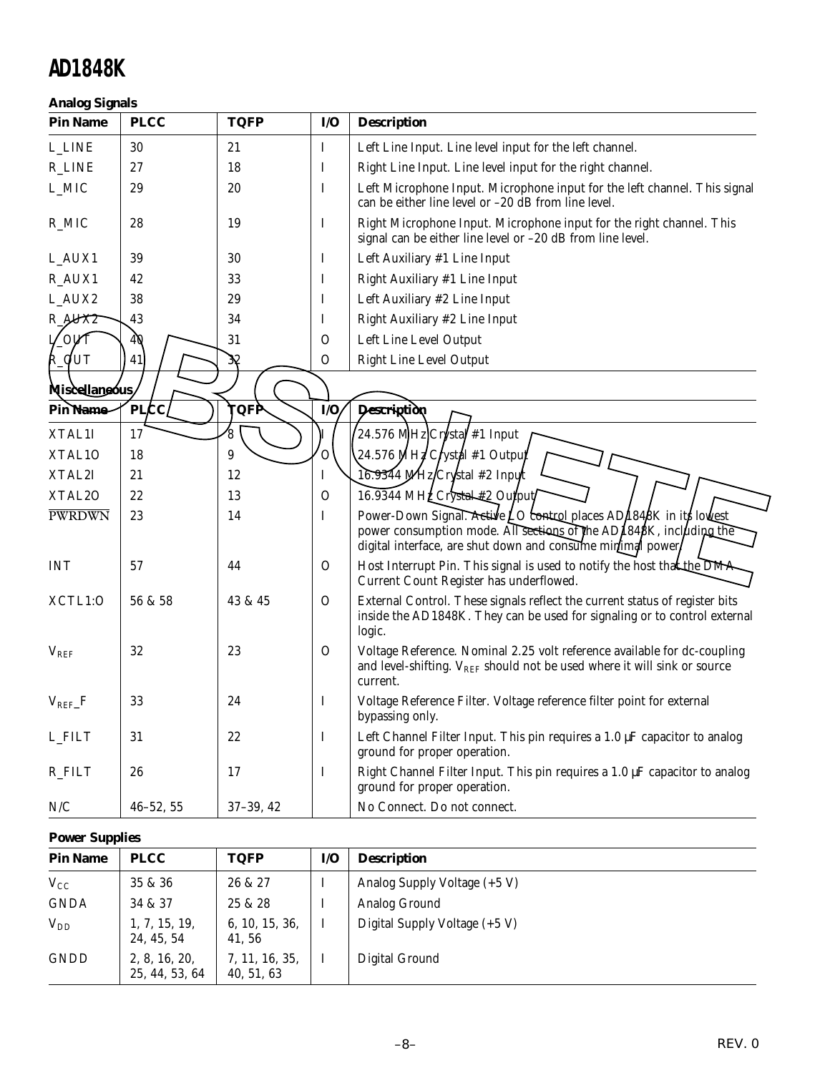#### **Analog Signals**

| <b>Pin Name</b>               | <b>PLCC</b>   | <b>TQFP</b> | I/O           | <b>Description</b>                                                                                                                                                                                      |
|-------------------------------|---------------|-------------|---------------|---------------------------------------------------------------------------------------------------------------------------------------------------------------------------------------------------------|
| <b>L_LINE</b>                 | 30            | 21          | Ι.            | Left Line Input. Line level input for the left channel.                                                                                                                                                 |
| <b>R_LINE</b>                 | 27            | 18          | Ι             | Right Line Input. Line level input for the right channel.                                                                                                                                               |
| L_MIC                         | 29            | 20          | I             | Left Microphone Input. Microphone input for the left channel. This signal<br>can be either line level or -20 dB from line level.                                                                        |
| R_MIC                         | 28            | 19          | I             | Right Microphone Input. Microphone input for the right channel. This<br>signal can be either line level or -20 dB from line level.                                                                      |
| L_AUX1                        | 39            | 30          | I             | Left Auxiliary #1 Line Input                                                                                                                                                                            |
| R_AUX1                        | 42            | 33          | I             | Right Auxiliary #1 Line Input                                                                                                                                                                           |
| L_AUX2                        | 38            | 29          | I             | Left Auxiliary #2 Line Input                                                                                                                                                                            |
| $R_{*}$ $\cancel{\text{M}X2}$ | 43            | 34          | Ι             | Right Auxiliary #2 Line Input                                                                                                                                                                           |
| /ovt                          | 40            | 31          | $\Omega$      | Left Line Level Output                                                                                                                                                                                  |
| R_QUT                         | 41            | 38          | $\mathcal{O}$ | <b>Right Line Level Output</b>                                                                                                                                                                          |
| Miscellaneous                 |               |             |               |                                                                                                                                                                                                         |
| Pin Name                      | <b>PLCC</b>   | <b>TQFP</b> | $\dot{I}/O$   | Description                                                                                                                                                                                             |
| XTAL1I                        | 17            | 8           |               | 24.576 MHz Crystal #1 Input                                                                                                                                                                             |
| XTAL10                        | 18            | 9           | O             | 24.576 MHZ Crystal #1 Output                                                                                                                                                                            |
| XTAL2I                        | 21            | 12          | Ι             | 16.9344 MHz/Crystal #2 Input                                                                                                                                                                            |
| XTAL <sub>20</sub>            | 22            | 13          | $\mathcal{O}$ | 16.9344 MHZ Crystal #2 Output                                                                                                                                                                           |
| PWRDWN                        | 23            | 14          | Ι             | Power-Down Signal. Active LO control places AD/1848K in its lowest<br>power consumption mode. All sections of the AD1848K, including the<br>digital interface, are shut down and consume minimal power, |
| <b>INT</b>                    | 57            | 44          | 0             | Host Interrupt Pin. This signal is used to notify the host that the DMA<br>Current Count Register has underflowed.                                                                                      |
| XCTL1:0                       | 56 & 58       | 43 & 45     | 0             | External Control. These signals reflect the current status of register bits<br>inside the AD1848K. They can be used for signaling or to control external<br>logic.                                      |
| $V_{REF}$                     | 32            | 23          | 0             | Voltage Reference. Nominal 2.25 volt reference available for dc-coupling<br>and level-shifting. $V_{REF}$ should not be used where it will sink or source<br>current.                                   |
| $V_{REF-F}$                   | 33            | 24          | I             | Voltage Reference Filter. Voltage reference filter point for external<br>bypassing only.                                                                                                                |
| <b>L_FILT</b>                 | 31            | 22          | $\mathbf I$   | Left Channel Filter Input. This pin requires a $1.0 \mu$ F capacitor to analog<br>ground for proper operation.                                                                                          |
| R_FILT                        | 26            | 17          | $\bf{I}$      | Right Channel Filter Input. This pin requires a 1.0 µF capacitor to analog<br>ground for proper operation.                                                                                              |
| $\rm N/C$                     | $46 - 52, 55$ | $37-39, 42$ |               | No Connect. Do not connect.                                                                                                                                                                             |

#### **Power Supplies**

| <b>Pin Name</b> | <b>PLCC</b>                     | <b>TQFP</b>                  | I/O | <b>Description</b>            |
|-----------------|---------------------------------|------------------------------|-----|-------------------------------|
| $V_{CC}$        | 35 & 36                         | 26 & 27                      |     | Analog Supply Voltage (+5 V)  |
| <b>GNDA</b>     | 34 & 37                         | 25 & 28                      |     | Analog Ground                 |
| $V_{DD}$        | 1, 7, 15, 19,<br>24, 45, 54     | 6, 10, 15, 36,<br>41, 56     |     | Digital Supply Voltage (+5 V) |
| <b>GNDD</b>     | 2, 8, 16, 20,<br>25, 44, 53, 64 | 7, 11, 16, 35,<br>40, 51, 63 |     | Digital Ground                |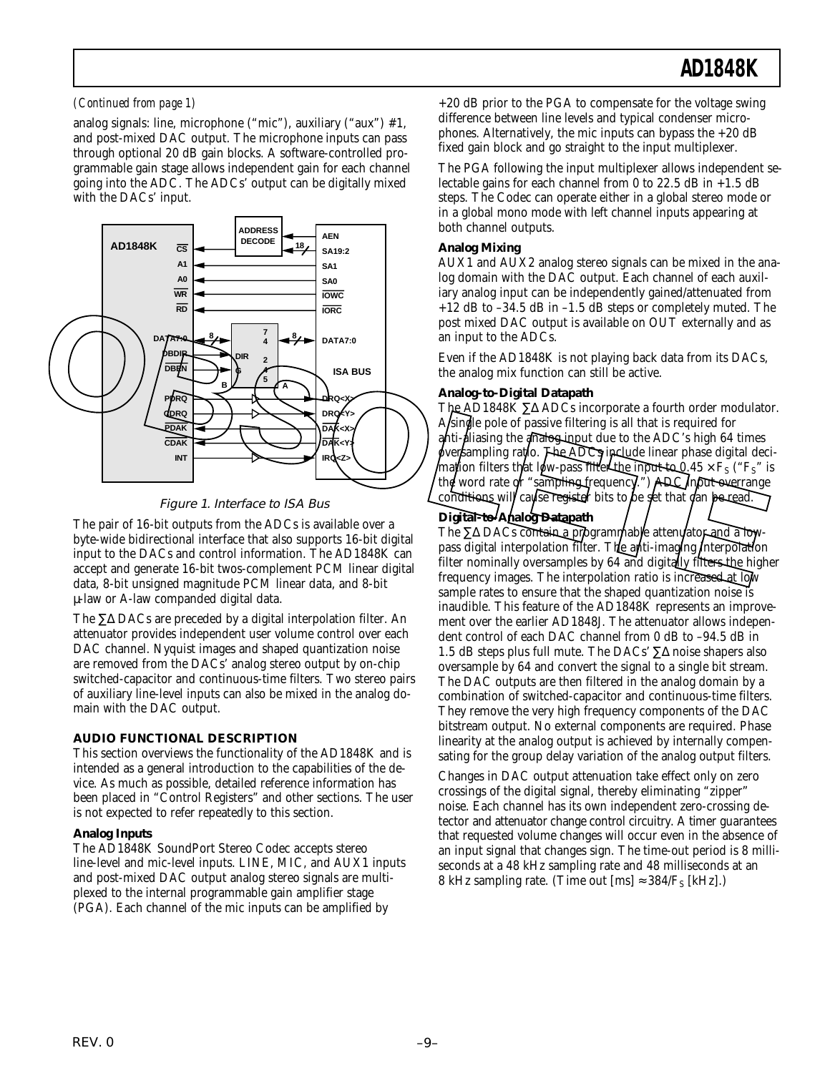#### *(Continued from page 1)*

analog signals: line, microphone ("mic"), auxiliary ("aux") #1, and post-mixed DAC output. The microphone inputs can pass through optional 20 dB gain blocks. A software-controlled programmable gain stage allows independent gain for each channel going into the ADC. The ADCs' output can be digitally mixed with the DACs' input.



#### Figure 1. Interface to ISA Bus

The pair of 16-bit outputs from the ADCs is available over a byte-wide bidirectional interface that also supports 16-bit digital input to the DACs and control information. The AD1848K can accept and generate 16-bit twos-complement PCM linear digital data, 8-bit unsigned magnitude PCM linear data, and 8-bit µ-law or A-law companded digital data.

The ∑∆ DACs are preceded by a digital interpolation filter. An attenuator provides independent user volume control over each DAC channel. Nyquist images and shaped quantization noise are removed from the DACs' analog stereo output by on-chip switched-capacitor and continuous-time filters. Two stereo pairs of auxiliary line-level inputs can also be mixed in the analog domain with the DAC output.

#### **AUDIO FUNCTIONAL DESCRIPTION**

This section overviews the functionality of the AD1848K and is intended as a general introduction to the capabilities of the device. As much as possible, detailed reference information has been placed in "Control Registers" and other sections. The user is not expected to refer repeatedly to this section.

#### **Analog Inputs**

The AD1848K SoundPort Stereo Codec accepts stereo line-level and mic-level inputs. LINE, MIC, and AUX1 inputs and post-mixed DAC output analog stereo signals are multiplexed to the internal programmable gain amplifier stage (PGA). Each channel of the mic inputs can be amplified by

+20 dB prior to the PGA to compensate for the voltage swing difference between line levels and typical condenser microphones. Alternatively, the mic inputs can bypass the  $+20$  dB fixed gain block and go straight to the input multiplexer.

The PGA following the input multiplexer allows independent selectable gains for each channel from 0 to 22.5 dB in  $+1.5$  dB steps. The Codec can operate either in a global stereo mode or in a global mono mode with left channel inputs appearing at both channel outputs.

#### **Analog Mixing**

AUX1 and AUX2 analog stereo signals can be mixed in the analog domain with the DAC output. Each channel of each auxiliary analog input can be independently gained/attenuated from +12 dB to –34.5 dB in –1.5 dB steps or completely muted. The post mixed DAC output is available on OUT externally and as an input to the ADCs.

Even if the AD1848K is not playing back data from its DACs, the analog mix function can still be active.

#### **Analog-to-Digital Datapath**

The AD1848K ∑∆ ADCs incorporate a fourth order modulator. A single pole of passive filtering is all that is required for anti-diasing the analogin put due to the ADC's high 64 times oversampling ratio. The ADCs include linear phase digital decimation filters that low-pass filter the input to 0,45  $\times$  F<sub>S</sub> ("F<sub>S</sub>" is the word rate or "sampling frequency.") ADC input overrange conditions will cause register bits to be set that can be read.

#### **Digital-to-Analog Datapath**

The ∑∆ DACs contain a programmable attenuator and a lowpass digital interpolation filter. The anti-imaging interpolation filter nominally oversamples by 64 and digitally filters the higher frequency images. The interpolation ratio is increased at low sample rates to ensure that the shaped quantization noise is inaudible. This feature of the AD1848K represents an improvement over the earlier AD1848J. The attenuator allows independent control of each DAC channel from 0 dB to –94.5 dB in 1.5 dB steps plus full mute. The DACs' ∑∆ noise shapers also oversample by 64 and convert the signal to a single bit stream. The DAC outputs are then filtered in the analog domain by a combination of switched-capacitor and continuous-time filters. They remove the very high frequency components of the DAC bitstream output. No external components are required. Phase linearity at the analog output is achieved by internally compensating for the group delay variation of the analog output filters.

Changes in DAC output attenuation take effect only on zero crossings of the digital signal, thereby eliminating "zipper" noise. Each channel has its own independent zero-crossing detector and attenuator change control circuitry. A timer guarantees that requested volume changes will occur even in the absence of an input signal that changes sign. The time-out period is 8 milliseconds at a 48 kHz sampling rate and 48 milliseconds at an 8 kHz sampling rate. (Time out  $[ms] \approx 384/F_s$  [kHz].)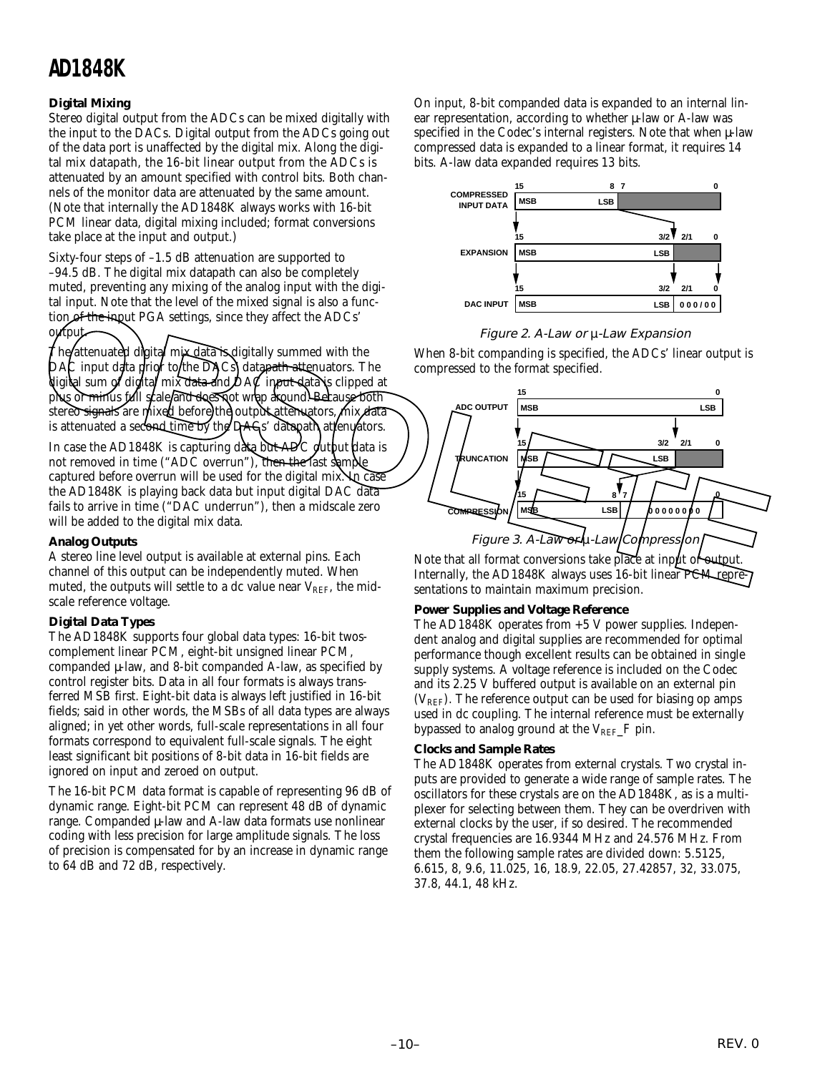#### **Digital Mixing**

Stereo digital output from the ADCs can be mixed digitally with the input to the DACs. Digital output from the ADCs going out of the data port is unaffected by the digital mix. Along the digital mix datapath, the 16-bit linear output from the ADCs is attenuated by an amount specified with control bits. Both channels of the monitor data are attenuated by the same amount. (Note that internally the AD1848K always works with 16-bit PCM linear data, digital mixing included; format conversions take place at the input and output.)

Sixty-four steps of –1.5 dB attenuation are supported to –94.5 dB. The digital mix datapath can also be completely muted, preventing any mixing of the analog input with the digital input. Note that the level of the mixed signal is also a function of the input PGA settings, since they affect the ADCs' output.

The/attenuated digital mix data is digitally summed with the  $\mathsf{D}\mathsf{A}\mathsf{C}$  input data prior to the  $\mathsf{D}\mathsf{A}\mathsf{C}\mathsf{s}$  datapath attenuators. The digital sum of digital mix data and DAC input data is clipped at plus or minus full scale and does not wrap around. Because both stereo signals are mixed before the output attenuators, mix data is attenuated a second time by the DAC<sub>k</sub>' datapath attenuators.

In case the AD1848K is capturing data but ADC output data is not removed in time ("ADC overrun"), then the last sample captured before overrun will be used for the digital mix. In case the AD1848K is playing back data but input digital DAC data fails to arrive in time ("DAC underrun"), then a midscale zero will be added to the digital mix data.

#### **Analog Outputs**

A stereo line level output is available at external pins. Each channel of this output can be independently muted. When muted, the outputs will settle to a dc value near  $V_{REF}$ , the midscale reference voltage.

#### **Digital Data Types**

The AD1848K supports four global data types: 16-bit twoscomplement linear PCM, eight-bit unsigned linear PCM, companded µ-law, and 8-bit companded A-law, as specified by control register bits. Data in all four formats is always transferred MSB first. Eight-bit data is always left justified in 16-bit fields; said in other words, the MSBs of all data types are always aligned; in yet other words, full-scale representations in all four formats correspond to equivalent full-scale signals. The eight least significant bit positions of 8-bit data in 16-bit fields are ignored on input and zeroed on output.

The 16-bit PCM data format is capable of representing 96 dB of dynamic range. Eight-bit PCM can represent 48 dB of dynamic range. Companded µ-law and A-law data formats use nonlinear coding with less precision for large amplitude signals. The loss of precision is compensated for by an increase in dynamic range to 64 dB and 72 dB, respectively.

On input, 8-bit companded data is expanded to an internal linear representation, according to whether µ-law or A-law was specified in the Codec's internal registers. Note that when  $\mu$ -law compressed data is expanded to a linear format, it requires 14 bits. A-law data expanded requires 13 bits.



#### Figure 2. A-Law or µ-Law Expansion

When 8-bit companding is specified, the ADCs' linear output is compressed to the format specified.



Note that all format conversions take place at input or output Internally, the AD1848K always uses 16-bit linear PCM representations to maintain maximum precision.

#### **Power Supplies and Voltage Reference**

The AD1848K operates from +5 V power supplies. Independent analog and digital supplies are recommended for optimal performance though excellent results can be obtained in single supply systems. A voltage reference is included on the Codec and its 2.25 V buffered output is available on an external pin  $(V<sub>REF</sub>)$ . The reference output can be used for biasing op amps used in dc coupling. The internal reference must be externally bypassed to analog ground at the  $V_{REF-F}$  pin.

#### **Clocks and Sample Rates**

The AD1848K operates from external crystals. Two crystal inputs are provided to generate a wide range of sample rates. The oscillators for these crystals are on the AD1848K, as is a multiplexer for selecting between them. They can be overdriven with external clocks by the user, if so desired. The recommended crystal frequencies are 16.9344 MHz and 24.576 MHz. From them the following sample rates are divided down: 5.5125, 6.615, 8, 9.6, 11.025, 16, 18.9, 22.05, 27.42857, 32, 33.075, 37.8, 44.1, 48 kHz.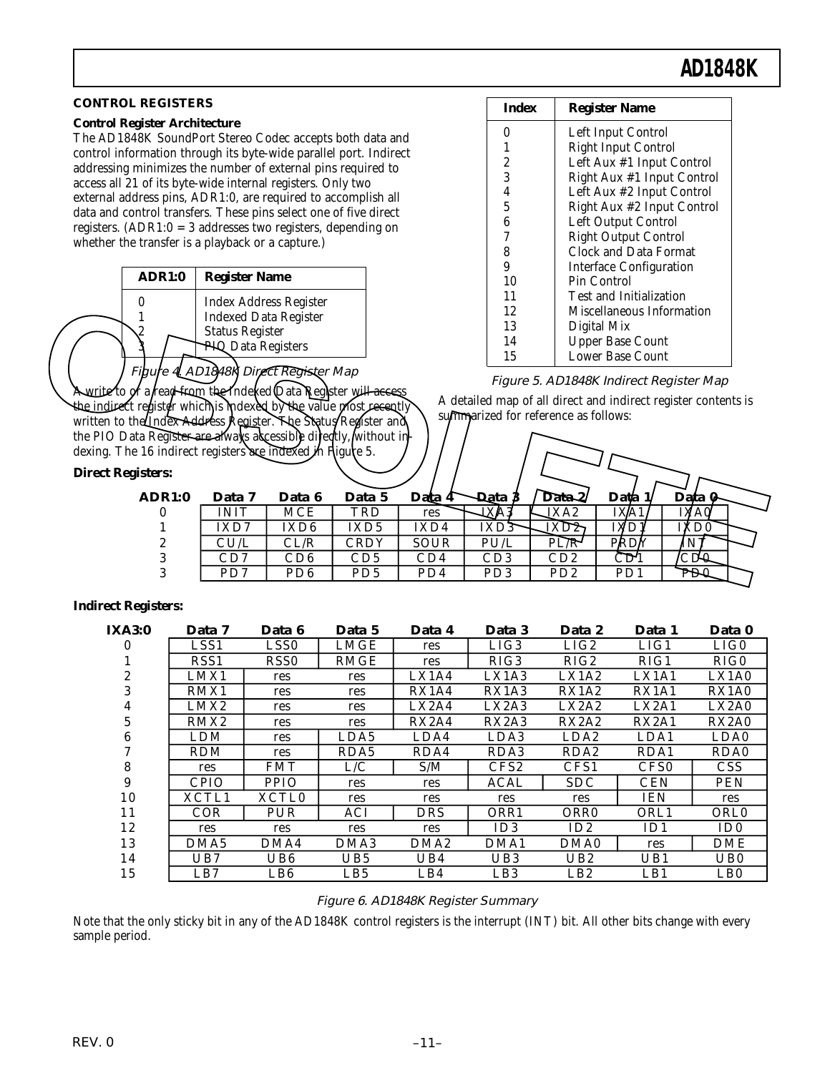#### **CONTROL REGISTERS**

#### **Control Register Architecture**

The AD1848K SoundPort Stereo Codec accepts both data and control information through its byte-wide parallel port. Indirect addressing minimizes the number of external pins required to access all 21 of its byte-wide internal registers. Only two external address pins, ADR1:0, are required to accomplish all data and control transfers. These pins select one of five direct registers. (ADR1:0 = 3 addresses two registers, depending on whether the transfer is a playback or a capture.)

|   | ADR1:0 | <b>Register Name</b>                                                                                          |
|---|--------|---------------------------------------------------------------------------------------------------------------|
| 9 |        | <b>Index Address Register</b><br><b>Indexed Data Register</b><br><b>Status Register</b><br>PIS Data Registers |
|   |        |                                                                                                               |

#### Figure 4LAD1848R Direct Register Map

#### *Direct Regis*

| Index | <b>Register Name</b>        |
|-------|-----------------------------|
| 0     | Left Input Control          |
| 1     | <b>Right Input Control</b>  |
| 2     | Left Aux #1 Input Control   |
| 3     | Right Aux #1 Input Control  |
| 4     | Left Aux #2 Input Control   |
| 5     | Right Aux #2 Input Control  |
| 6     | Left Output Control         |
| 7     | <b>Right Output Control</b> |
| 8     | Clock and Data Format       |
| 9     | Interface Configuration     |
| 10    | Pin Control                 |
| 11    | Test and Initialization     |
| 12    | Miscellaneous Information   |
| 13    | Digital Mix                 |
| 14    | <b>Upper Base Count</b>     |
| 15    | Lower Base Count            |

#### Figure 5. AD1848K Indirect Register Map

| Figure 4LAD1848K Direct Register Map<br>Awrite to or a read from the Indexed Qata Register wil <del>l access</del><br>the indirect register which is indexed by the value most recently<br>written to the <i>Index Address Register</i> . The Status Register and<br>the PIO Data Register are always accessible directly, without in-<br>dexing. The 16 indirect registers are indexed in Rigure 5.<br><b>Direct Registers:</b> | muca Audress negister<br><b>Indexed Data Register</b><br><b>Status Register</b><br><b>PIS Data Registers</b> |                  |                             |             | 12<br>13<br>14<br>15 | summarized for reference as follows: | Miscellaneous Information<br>Digital Mix<br><b>Upper Base Count</b><br>Lower Base Count<br>Figure 5. AD1848K Indirect Register Map<br>A detailed map of all direct and indirect register contents is |                 |  |
|----------------------------------------------------------------------------------------------------------------------------------------------------------------------------------------------------------------------------------------------------------------------------------------------------------------------------------------------------------------------------------------------------------------------------------|--------------------------------------------------------------------------------------------------------------|------------------|-----------------------------|-------------|----------------------|--------------------------------------|------------------------------------------------------------------------------------------------------------------------------------------------------------------------------------------------------|-----------------|--|
| <b>ADR1:0</b>                                                                                                                                                                                                                                                                                                                                                                                                                    | Data 7                                                                                                       | Data 6           | Data 5                      | Data 4      | Data 3               | Data <sup>2</sup>                    | Data 1                                                                                                                                                                                               | Data O          |  |
| 0                                                                                                                                                                                                                                                                                                                                                                                                                                | <b>INIT</b>                                                                                                  | <b>MCE</b>       | TRD                         | res         | TXVV                 | XA2                                  | IXA <sub>1</sub>                                                                                                                                                                                     | <b>IXAOL</b>    |  |
|                                                                                                                                                                                                                                                                                                                                                                                                                                  | IXD7                                                                                                         | IXD <sub>6</sub> | IXD <sub>5</sub>            | IXD4        | IXD3                 | תIXD                                 | IXD1                                                                                                                                                                                                 | <b>IXDQ</b>     |  |
|                                                                                                                                                                                                                                                                                                                                                                                                                                  | CU/L                                                                                                         | CL/R             | <b>CRDY</b>                 | <b>SOUR</b> | PU/L                 | $P\overline{L/R}$                    | PRDY                                                                                                                                                                                                 | ÍΝ              |  |
| 3                                                                                                                                                                                                                                                                                                                                                                                                                                | CD7                                                                                                          | CD6              | CD <sub>5</sub>             | CD4         | CD3                  | CD2                                  | CD <sup>1</sup>                                                                                                                                                                                      | CD <del>0</del> |  |
| 3                                                                                                                                                                                                                                                                                                                                                                                                                                | PD7                                                                                                          | PD <sub>6</sub>  | P <sub>D</sub> <sub>5</sub> | PD4         | PD <sub>3</sub>      | PD2                                  | P <sub>D</sub> 1                                                                                                                                                                                     | PDI             |  |
|                                                                                                                                                                                                                                                                                                                                                                                                                                  |                                                                                                              |                  |                             |             |                      |                                      |                                                                                                                                                                                                      |                 |  |

#### *Indirect Registers:*

| <b>IXA3:0</b> | Data 7           | Data 6            | Data 5           | Data 4            | Data 3                         | Data 2            | Data 1            | Data 0          |
|---------------|------------------|-------------------|------------------|-------------------|--------------------------------|-------------------|-------------------|-----------------|
| 0             | LSS <sub>1</sub> | LSS <sub>0</sub>  | LMGE             | res               | LIG3                           | LIG2              | LIG1              | LIG0            |
|               | RSS <sub>1</sub> | RSS <sub>0</sub>  | <b>RMGE</b>      | res               | RIG3                           | RIG2              | RIG1              | RIG0            |
| 2             | LMX1             | res               | res              | LX1A4             | LX1A3                          | LX1A2             | LX1A1             | LX1A0           |
| 3             | RMX1             | res               | res              | RX1A4             | RX1A3                          | RX1A2             | RX1A1             | RX1A0           |
| 4             | LMX2             | res               | res              | L <sub>X2A4</sub> | LX2A3                          | L <sub>X2A2</sub> | L <sub>X2A1</sub> | LX2A0           |
| 5             | RMX2             | res               | res              | RX2A4             | RX <sub>2</sub> A <sub>3</sub> | RX2A2             | RX2A1             | <b>RX2A0</b>    |
| 6             | LDM              | res               | LDA5             | LDA4              | LDA3                           | LDA <sub>2</sub>  | LDA1              | LDA0            |
|               | <b>RDM</b>       | res               | RDA5             | RDA4              | RDA3                           | RDA <sub>2</sub>  | RDA1              | RDA0            |
| 8             | res              | <b>FMT</b>        | L/C              | S/M               | CFS <sub>2</sub>               | CFS1              | CFS <sub>0</sub>  | <b>CSS</b>      |
| 9             | <b>CPIO</b>      | <b>PPIO</b>       | res              | res               | <b>ACAL</b>                    | <b>SDC</b>        | <b>CEN</b>        | <b>PEN</b>      |
| 10            | XCTL1            | XCTL <sub>0</sub> | res              | res               | res                            | res               | <b>IEN</b>        | res             |
| 11            | <b>COR</b>       | PUR               | ACI              | DRS               | ORR1                           | ORR <sub>0</sub>  | ORL1              | <b>ORLO</b>     |
| 12            | res              | res               | res              | res               | ID3                            | ID2               | ID1               | ID0             |
| 13            | DMA <sub>5</sub> | DMA4              | DMA <sub>3</sub> | DMA <sub>2</sub>  | DMA1                           | DMA0              | res               | <b>DME</b>      |
| 14            | UB7              | UB6               | UB5              | UB4               | UB3                            | UB2               | UB1               | UB <sub>0</sub> |
| 15            | LB7              | LB <sub>6</sub>   | LB <sub>5</sub>  | LB4               | LB <sub>3</sub>                | LB2               | LB1               | LB <sub>0</sub> |

#### Figure 6. AD1848K Register Summary

Note that the only sticky bit in any of the AD1848K control registers is the interrupt (INT) bit. All other bits change with every sample period.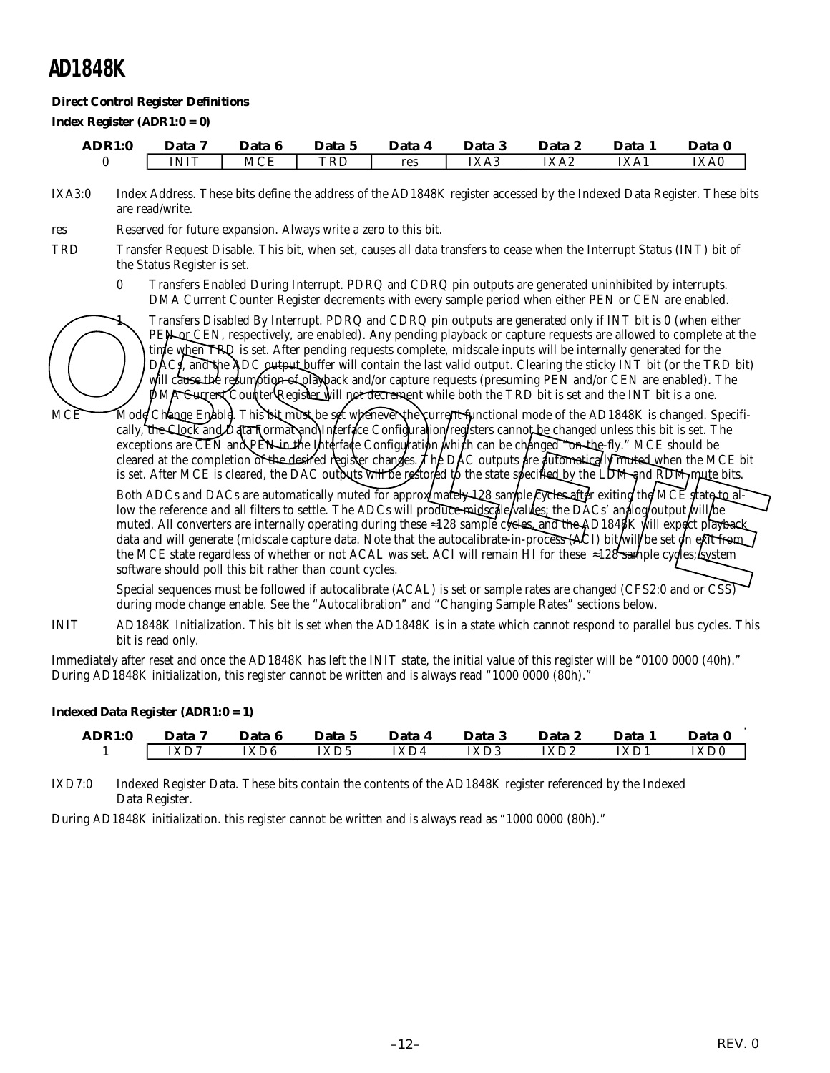#### **Direct Control Register Definitions**

*Index Register (ADR1:0 = 0)*

| ADR1:0 | Data 7      | Data 6     | Data 5 | Data 4 | Data 3 | Data 2 | Data 1 | Data 0 |
|--------|-------------|------------|--------|--------|--------|--------|--------|--------|
|        | <b>INIT</b> | <b>MCE</b> | TRD    | res    | IXA3   | IXA2   | IXA1   | IXA0   |

IXA3:0 Index Address. These bits define the address of the AD1848K register accessed by the Indexed Data Register. These bits are read/write.

res Reserved for future expansion. Always write a zero to this bit.

- TRD Transfer Request Disable. This bit, when set, causes all data transfers to cease when the Interrupt Status (INT) bit of the Status Register is set.
	- 0 Transfers Enabled During Interrupt. PDRQ and CDRQ pin outputs are generated uninhibited by interrupts. DMA Current Counter Register decrements with every sample period when either PEN or CEN are enabled.

1 Transfers Disabled By Interrupt. PDRQ and CDRQ pin outputs are generated only if INT bit is 0 (when either PEN or CEN, respectively, are enabled). Any pending playback or capture requests are allowed to complete at the time when TRQ is set. After pending requests complete, midscale inputs will be internally generated for the DACs, and the ADC output buffer will contain the last valid output. Clearing the sticky INT bit (or the TRD bit) will cause the resumption of playback and/or capture requests (presuming PEN and/or CEN are enabled). The  $\mathbf{\hat{p}}$ MA Current Counter Register will not decrement while both the TRD bit is set and the INT bit is a one.

MCE Mode Change Enable. This bit must be set whenever the current functional mode of the AD1848K is changed. Specifically, the Clock and Data Format and Inferface Configuration/registers cannot be changed unless this bit is set. The exceptions are CEN and PEN in the Interface Configuration which can be changed "on-the-fly." MCE should be cleared at the completion of the desired register changes. The DAC outputs are automatically muted when the MCE bit is set. After MCE is cleared, the DAC outputs will be restored to the state specified by the LDM and RDM mute bits.

Both ADCs and DACs are automatically muted for approximately  $\frac{128}{2}$  sample cycles after exiting the MCE state to allow the reference and all filters to settle. The ADCs will produce midscale values; the DACs' and log/output will be muted. All converters are internally operating during these ≈128 sample cycles, and the AD1848K will expect playback data and will generate (midscale capture data. Note that the autocalibrate-in-process  $(ACI)$  bit/will/be set on exit from the MCE state regardless of whether or not ACAL was set. ACI will remain HI for these  $\approx$ 128 sample cycles; system software should poll this bit rather than count cycles. Transfers Disabled By Interrupt. PDRQ and CDRQ pin outputs are generated only if INT bit is 0 (when either PERTON respectively, are enabled). Any pending playback or capture requests are allowed to complete at the unite wh

Special sequences must be followed if autocalibrate (ACAL) is set or sample rates are changed (CFS2:0 and or CSS) during mode change enable. See the "Autocalibration" and "Changing Sample Rates" sections below.

INIT AD1848K Initialization. This bit is set when the AD1848K is in a state which cannot respond to parallel bus cycles. This bit is read only.

Immediately after reset and once the AD1848K has left the INIT state, the initial value of this register will be "0100 0000 (40h)." During AD1848K initialization, this register cannot be written and is always read "1000 0000 (80h)."

#### *Indexed Data Register (ADR1:0 = 1)*

| ADR1:0 | Data 7 | Data 6 | Data 5 | Data 4 | Data 3 | Data 2 | Data 1 | Data 0 |
|--------|--------|--------|--------|--------|--------|--------|--------|--------|
|        | IXD7   | IXD6   | IXD5   | IXD4   | IXD3   | IXD2   | IXD1   | IXD0   |

IXD7:0 Indexed Register Data. These bits contain the contents of the AD1848K register referenced by the Indexed Data Register.

During AD1848K initialization. this register cannot be written and is always read as "1000 0000 (80h)."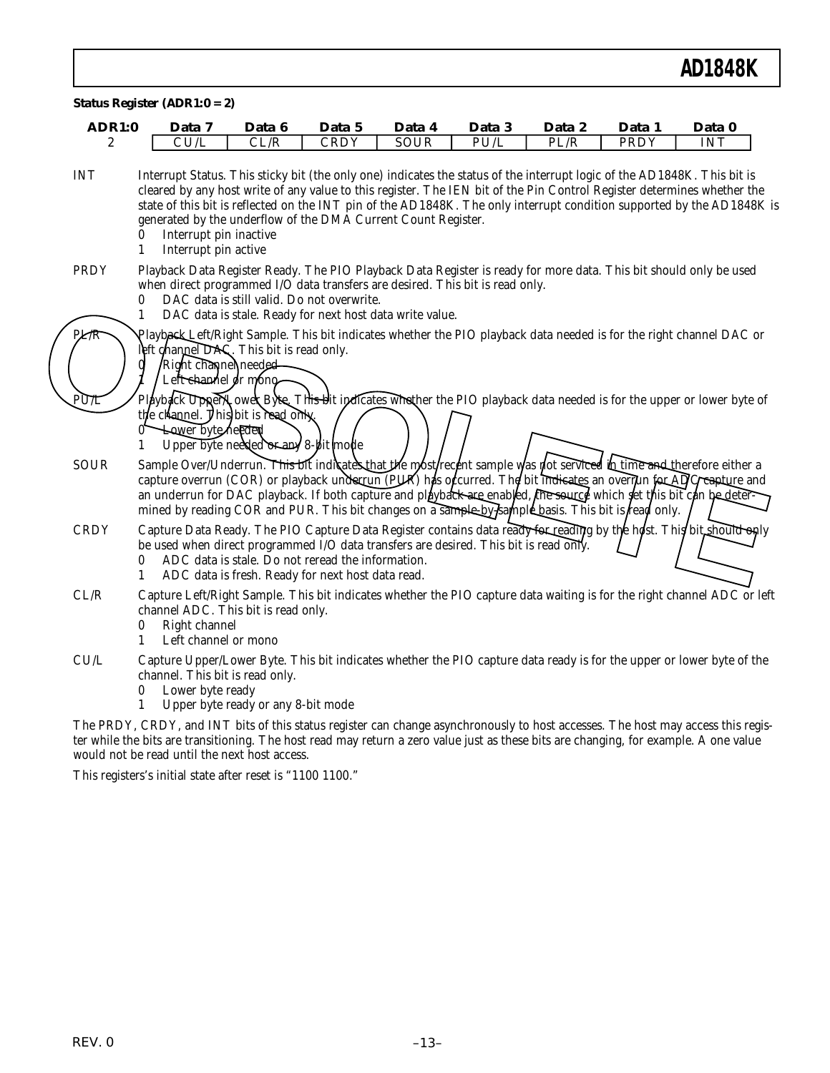| <b>ADR1:0</b>    | Data 7                                                                                                                                                                                                                                                                                                                                                                                                                                                                                                     | Data 6                                                                                                 | Data 5      | Data 4      | Data 3 | Data 2 | Data 1 | Data 0     |
|------------------|------------------------------------------------------------------------------------------------------------------------------------------------------------------------------------------------------------------------------------------------------------------------------------------------------------------------------------------------------------------------------------------------------------------------------------------------------------------------------------------------------------|--------------------------------------------------------------------------------------------------------|-------------|-------------|--------|--------|--------|------------|
| 2                | CU/L                                                                                                                                                                                                                                                                                                                                                                                                                                                                                                       | CL/R                                                                                                   | <b>CRDY</b> | <b>SOUR</b> | PU/L   | PL/R   | PRDY   | <b>INT</b> |
| <b>INT</b>       | Interrupt Status. This sticky bit (the only one) indicates the status of the interrupt logic of the AD1848K. This bit is<br>cleared by any host write of any value to this register. The IEN bit of the Pin Control Register determines whether the<br>state of this bit is reflected on the INT pin of the AD1848K. The only interrupt condition supported by the AD1848K is<br>generated by the underflow of the DMA Current Count Register.<br>Interrupt pin inactive<br>0<br>Interrupt pin active<br>1 |                                                                                                        |             |             |        |        |        |            |
| <b>PRDY</b>      | Playback Data Register Ready. The PIO Playback Data Register is ready for more data. This bit should only be used<br>when direct programmed I/O data transfers are desired. This bit is read only.<br>0<br>1                                                                                                                                                                                                                                                                                               | DAC data is still valid. Do not overwrite.<br>DAC data is stale. Ready for next host data write value. |             |             |        |        |        |            |
| PLAR             | Playback-Left/Right Sample. This bit indicates whether the PIO playback data needed is for the right channel DAC or<br>left channel DAS. This bit is read only.<br>Right channel needed<br>Left channel or mono                                                                                                                                                                                                                                                                                            |                                                                                                        |             |             |        |        |        |            |
| $P\overline{UL}$ | Playback Upper/LoweRByte. This bit indicates whether the PIO playback data needed is for the upper or lower byte of<br>the channel. This bit is read only<br><b>Lower byte/hedded</b><br>1                                                                                                                                                                                                                                                                                                                 | Upper byte needed or any 8-bit mode                                                                    |             |             |        |        |        |            |
| <b>SOUR</b>      | Sample Over/Underrun. This bit indicates that the most recent sample was not serviced in time and therefore either a<br>capture overrun (COR) or playback underrun (PUR) has odcurred. The bit indicates an overlun for ADC capture and<br>an underrun for DAC playback. If both capture and playback are enabled, the source which fet this bit can be deter-<br>mined by reading COR and PUR. This bit changes on a sample-by-kample basis. This bit is read only.                                       |                                                                                                        |             |             |        |        |        |            |
| <b>CRDY</b>      | Capture Data Ready. The PIO Capture Data Register contains data ready for reading by the host. This bit should only<br>be used when direct programmed I/O data transfers are desired. This bit is read only.<br>0<br>1                                                                                                                                                                                                                                                                                     | ADC data is stale. Do not reread the information.<br>ADC data is fresh. Ready for next host data read. |             |             |        |        |        |            |
| CL/R             | Capture Left/Right Sample. This bit indicates whether the PIO capture data waiting is for the right channel ADC or left<br>channel ADC. This bit is read only.<br>Right channel<br>0<br>Left channel or mono<br>1                                                                                                                                                                                                                                                                                          |                                                                                                        |             |             |        |        |        |            |
| CU/L             | Capture Upper/Lower Byte. This bit indicates whether the PIO capture data ready is for the upper or lower byte of the<br>channel. This bit is read only.<br>Lower byte ready<br>0<br>$\mathbf{1}$                                                                                                                                                                                                                                                                                                          | Upper byte ready or any 8-bit mode                                                                     |             |             |        |        |        |            |

The PRDY, CRDY, and INT bits of this status register can change asynchronously to host accesses. The host may access this register while the bits are transitioning. The host read may return a zero value just as these bits are changing, for example. A one value would not be read until the next host access.

This registers's initial state after reset is "1100 1100."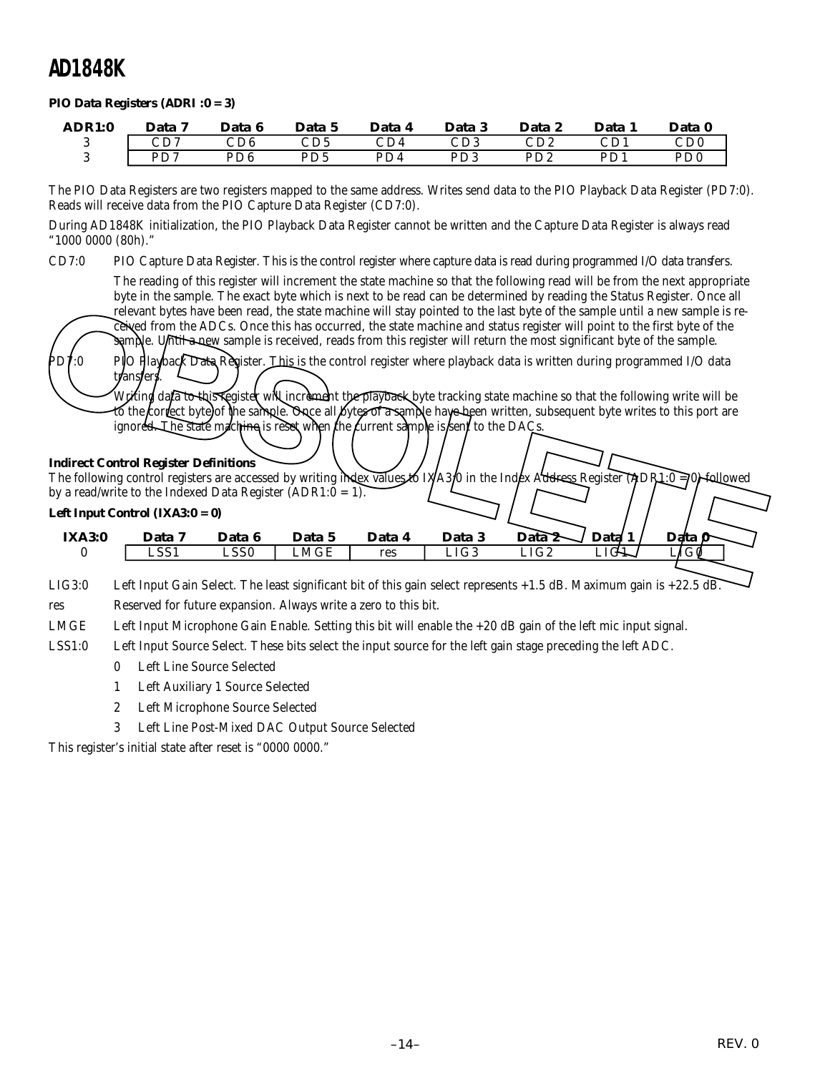#### *PIO Data Registers (ADRI :0 = 3)*

| ADR1:0 | Data 7 | Data 6                      | Data 5          | Data 4                  | Data 3 | Data 2                      | Data 1 | Data 0                      |
|--------|--------|-----------------------------|-----------------|-------------------------|--------|-----------------------------|--------|-----------------------------|
|        | CD7    | $\mathop{\rm CD6}\nolimits$ | CD5             | $\mathbb{C}\mathrm{D}4$ | CD3    | $\mathop{\rm CD2}\nolimits$ | CD1    | $\mathop{\rm CD0}\nolimits$ |
|        | PD7    | PD6                         | PD <sub>5</sub> | PD4                     | PD3    | PD2                         | PD1    | PD <sub>0</sub>             |

The PIO Data Registers are two registers mapped to the same address. Writes send data to the PIO Playback Data Register (PD7:0). Reads will receive data from the PIO Capture Data Register (CD7:0).

During AD1848K initialization, the PIO Playback Data Register cannot be written and the Capture Data Register is always read "1000 0000 (80h)."

CD7:0 PIO Capture Data Register. This is the control register where capture data is read during programmed I/O data transfers.

The reading of this register will increment the state machine so that the following read will be from the next appropriate byte in the sample. The exact byte which is next to be read can be determined by reading the Status Register. Once all relevant bytes have been read, the state machine will stay pointed to the last byte of the sample until a new sample is received from the ADCs. Once this has occurred, the state machine and status register will point to the first byte of the sample. Until a new sample is received, reads from this register will return the most significant byte of the sample.

PD7:0 PIO Playback Data Register. This is the control register where playback data is written during programmed I/O data transfers

Writing data to this register will increment the playback byte tracking state machine so that the following write will be to the correct byte of the sample. Once all bytes of a sample have been written, subsequent byte writes to this port are ignored. The state machine is reset when the current sample is  $\frac{\hbar}{\hbar}$  to the DAC

#### **Indirect Control Register Definitions**

The following control registers are accessed by writing index values to IXA3:0 in the Index Address Register (ADR1:0 = 0) followed by a read/write to the Indexed Data Register  $(ADR1:0 = 1)$ . *Left Input Control (IXA3:0 = 0)* **IXA3:0** Data 7 Data 6 Data 5 Data 4 Data 3 Data 2 Data 1 | Data 9 The following control register Section and the state machine will stay pointed to the last byte of the sample is received. The sample is received, reads from this register will return the most significant byte of the sampl

LIG3:0 Left Input Gain Select. The least significant bit of this gain select represents +1.5 dB. Maximum gain is +22.5 dB.

0 LSS1 LSS0 LMGE res LIG3 LIG2 LIG1 LIG0

res Reserved for future expansion. Always write a zero to this bit.

LMGE Left Input Microphone Gain Enable. Setting this bit will enable the +20 dB gain of the left mic input signal.

LSS1:0 Left Input Source Select. These bits select the input source for the left gain stage preceding the left ADC.

- 0 Left Line Source Selected
- 1 Left Auxiliary 1 Source Selected
- 2 Left Microphone Source Selected
- 3 Left Line Post-Mixed DAC Output Source Selected

This register's initial state after reset is "0000 0000."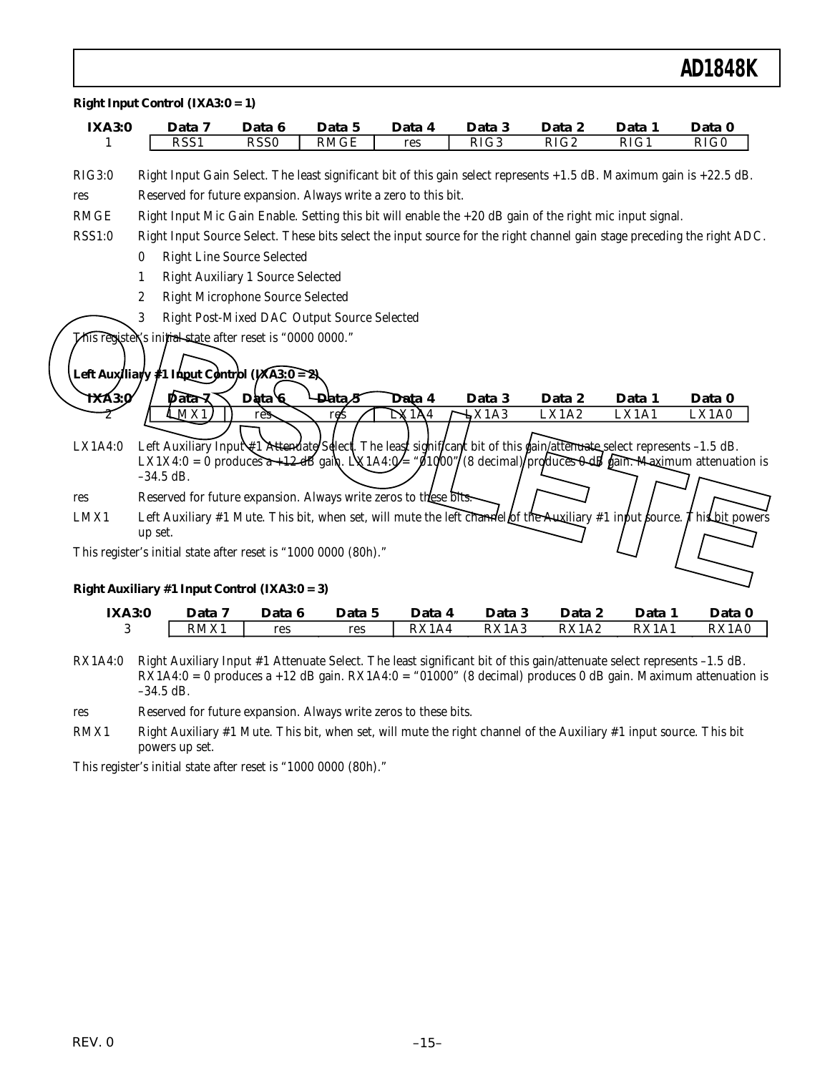| <b>IXA3:0</b> |                  | Data 7                                                 | Data 6           | Data 5                                                                                                                                                                                                                                                  | Data 4 | Data 3            | Data 2 | Data 1            | Data 0       |
|---------------|------------------|--------------------------------------------------------|------------------|---------------------------------------------------------------------------------------------------------------------------------------------------------------------------------------------------------------------------------------------------------|--------|-------------------|--------|-------------------|--------------|
| 1             |                  | RSS1                                                   | RSS <sub>0</sub> | <b>RMGE</b>                                                                                                                                                                                                                                             | res    | $\overline{RIG3}$ | RIG2   | $\overline{RIG1}$ | RIG0         |
| RIG3:0        |                  |                                                        |                  | Right Input Gain Select. The least significant bit of this gain select represents $+1.5$ dB. Maximum gain is $+22.5$ dB.                                                                                                                                |        |                   |        |                   |              |
| res           |                  |                                                        |                  | Reserved for future expansion. Always write a zero to this bit.                                                                                                                                                                                         |        |                   |        |                   |              |
| <b>RMGE</b>   |                  |                                                        |                  | Right Input Mic Gain Enable. Setting this bit will enable the $+20$ dB gain of the right mic input signal.                                                                                                                                              |        |                   |        |                   |              |
| <b>RSS1:0</b> |                  |                                                        |                  | Right Input Source Select. These bits select the input source for the right channel gain stage preceding the right ADC.                                                                                                                                 |        |                   |        |                   |              |
|               | $\bf{0}$         | <b>Right Line Source Selected</b>                      |                  |                                                                                                                                                                                                                                                         |        |                   |        |                   |              |
|               | 1                | <b>Right Auxiliary 1 Source Selected</b>               |                  |                                                                                                                                                                                                                                                         |        |                   |        |                   |              |
|               | $\boldsymbol{2}$ | <b>Right Microphone Source Selected</b>                |                  |                                                                                                                                                                                                                                                         |        |                   |        |                   |              |
|               | 3                |                                                        |                  | Right Post-Mixed DAC Output Source Selected                                                                                                                                                                                                             |        |                   |        |                   |              |
| <b>TXA3:0</b> |                  | Left Auxiliary #1 Input Control (IXA3:0 = 2)<br>Data २ | Data 6           | <b>-Data∕5</b>                                                                                                                                                                                                                                          | Data 4 | Data 3            | Data 2 | Data 1            | Data 0       |
| LX1A4:0       | $-34.5$ dB.      | MX1                                                    | res              | res<br>Left Auxiliary Input #1 Attenuate/Sellect. The least significant bit of this gain attenuate select represents -1.5 dB.<br>LX1X4:0 = 0 produces $a+12$ dB gain. LX1A4: $0'$ = " $0/60$ "/(8 decimal)/produces $0$ dB gain. Maximum attenuation is | DX1A4  | DX1A3             | LX1A2  | LX1A1             | LX1A0        |
| res           |                  |                                                        |                  | Reserved for future expansion. Always write zeros to these bits.                                                                                                                                                                                        |        |                   |        |                   |              |
| LMX1          | up set.          |                                                        |                  | Left Auxiliary #1 Mute. This bit, when set, will mute the left channel of the Auxiliary #1 input fource. This bit powers                                                                                                                                |        |                   |        |                   |              |
|               |                  |                                                        |                  | This register's initial state after reset is "1000 0000 (80h)."                                                                                                                                                                                         |        |                   |        |                   |              |
|               |                  | Right Auxiliary #1 Input Control (IXA3: $0 = 3$ )      |                  |                                                                                                                                                                                                                                                         |        |                   |        |                   |              |
| <b>IXA3:0</b> |                  | Data 7                                                 | Data 6           | Data 5                                                                                                                                                                                                                                                  | Data 4 | Data 3            | Data 2 | Data 1            | Data 0       |
| 3             |                  | RMX1                                                   | res              | res                                                                                                                                                                                                                                                     | RX1A4  | RX1A3             | RX1A2  | RX1A1             | <b>RX1A0</b> |

RX1A4:0 Right Auxiliary Input #1 Attenuate Select. The least significant bit of this gain/attenuate select represents –1.5 dB. RX1A4:0 = 0 produces a +12 dB gain. RX1A4:0 = "01000" (8 decimal) produces 0 dB gain. Maximum attenuation is –34.5 dB.

res Reserved for future expansion. Always write zeros to these bits.

RMX1 Right Auxiliary #1 Mute. This bit, when set, will mute the right channel of the Auxiliary #1 input source. This bit powers up set.

This register's initial state after reset is "1000 0000 (80h)."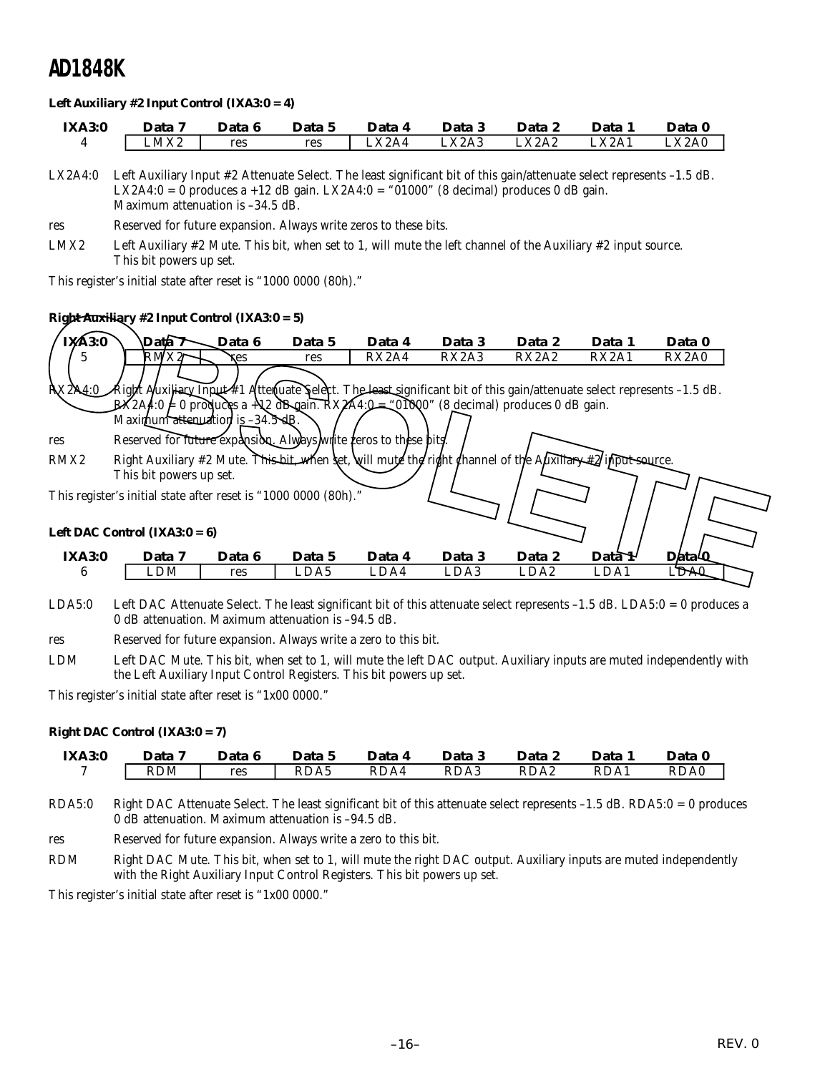#### *Left Auxiliary #2 Input Control (IXA3:0 = 4)*

| <b>IXA3:0</b> | Data | Data 6 | Data 5 | Data                           | Data 3   | Data 2           | Data  | Data 0       |
|---------------|------|--------|--------|--------------------------------|----------|------------------|-------|--------------|
|               | LMX2 | res    | res    | $\text{L} \text{X} \text{2A4}$ | $\_X2A3$ | $\triangle$ X2A2 | LX2A1 | <b>LX2A0</b> |

LX2A4:0 Left Auxiliary Input #2 Attenuate Select. The least significant bit of this gain/attenuate select represents –1.5 dB. LX2A4:0 = 0 produces a +12 dB gain. LX2A4:0 = "01000" (8 decimal) produces 0 dB gain. Maximum attenuation is –34.5 dB.

res Reserved for future expansion. Always write zeros to these bits.

LMX2 Left Auxiliary #2 Mute. This bit, when set to 1, will mute the left channel of the Auxiliary #2 input source. This bit powers up set.

This register's initial state after reset is "1000 0000 (80h)."

#### *Right Auxiliary #2 Input Control (IXA3:0 = 5)*

| <i>Right Auxiliary #2 Input Control (IXA3:0 = 5)</i> |                                                                                                                                |        |        |        |        |        |                                |        |  |  |  |  |
|------------------------------------------------------|--------------------------------------------------------------------------------------------------------------------------------|--------|--------|--------|--------|--------|--------------------------------|--------|--|--|--|--|
| IXA3:0                                               | Dath 7                                                                                                                         | Data 6 | Data 5 | Data 4 | Data 3 | Data 2 | Data 1                         | Data 0 |  |  |  |  |
| 5                                                    | RMX2                                                                                                                           | res    | res    | RX2A4  | RX2A3  | RX2A2  | RX <sub>2</sub> A <sub>1</sub> | RX2A0  |  |  |  |  |
|                                                      | RX2N4:0 Right Auxiliary Input #1 Attenuate Select. The least significant bit of this gain/attenuate select represents -1.5 dB. |        |        |        |        |        |                                |        |  |  |  |  |
|                                                      | $\cancel{P}X2A4.0 \neq 0$ produces a + \2 dB gain. RX $\cancel{P}A4.0 - 0.000$ (8 decimal) produces 0 dB gain.                 |        |        |        |        |        |                                |        |  |  |  |  |
|                                                      | Maximum attenuation is 34.5 dB.                                                                                                |        |        |        |        |        |                                |        |  |  |  |  |
| res                                                  | Reserved for future expansion. Always write feros to these bits.                                                               |        |        |        |        |        |                                |        |  |  |  |  |
| RMX2                                                 | Right Auxiliary #2 Mute. This bit, when set, will mute the right channel of the Auxiliary #2 input source.                     |        |        |        |        |        |                                |        |  |  |  |  |
|                                                      | This bit powers up set.                                                                                                        |        |        |        |        |        |                                |        |  |  |  |  |
|                                                      | This register's initial state after reset is "1000 0000 (80h)."                                                                |        |        |        |        |        |                                |        |  |  |  |  |
|                                                      | Left DAC Control (IXA3: $0 = 6$ )                                                                                              |        |        |        |        |        |                                |        |  |  |  |  |
| <b>IXA3:0</b>                                        | Data 7                                                                                                                         | Data 6 | Data 5 | Data 4 | Data 3 | Data 2 | $\text{Data}\mathcal{H}$       | Data 4 |  |  |  |  |
| 6                                                    | LDM                                                                                                                            | res    | LDA5   | LDA4   | LDA3   | LDA2   | LDA1                           | I TYAI |  |  |  |  |

- LDA5:0 Left DAC Attenuate Select. The least significant bit of this attenuate select represents –1.5 dB. LDA5:0 = 0 produces a 0 dB attenuation. Maximum attenuation is –94.5 dB.
- res Reserved for future expansion. Always write a zero to this bit.
- LDM Left DAC Mute. This bit, when set to 1, will mute the left DAC output. Auxiliary inputs are muted independently with the Left Auxiliary Input Control Registers. This bit powers up set.

This register's initial state after reset is "1x00 0000."

#### *Right DAC Control (IXA3:0 = 7)*

| <b>IXA3:0</b> | Data 7     | Data 6 | Data 5 | Data 4 | Data 3 | Data 2 | <b>Data</b> | Data 0 |
|---------------|------------|--------|--------|--------|--------|--------|-------------|--------|
|               | <b>RDM</b> | res    | RDA5   | RDA4   | RDA3   | RDA2   | RDA1        | RDA0   |

- RDA5:0 Right DAC Attenuate Select. The least significant bit of this attenuate select represents –1.5 dB. RDA5:0 = 0 produces 0 dB attenuation. Maximum attenuation is –94.5 dB.
- res Reserved for future expansion. Always write a zero to this bit.
- RDM Right DAC Mute. This bit, when set to 1, will mute the right DAC output. Auxiliary inputs are muted independently with the Right Auxiliary Input Control Registers. This bit powers up set.

This register's initial state after reset is "1x00 0000."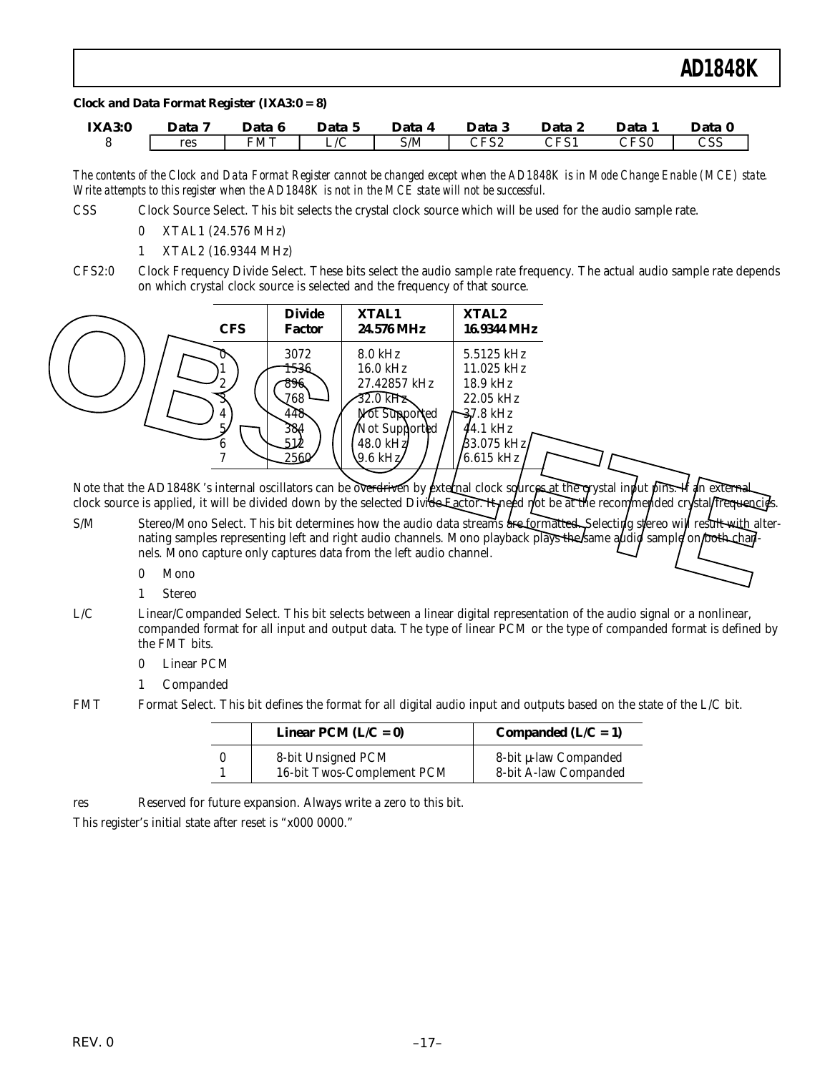#### *Clock and Data Format Register (IXA3:0 = 8)*

| <b>IXA3:0</b> | Data | Data       | Data 5 | Data | Data<br>പ         | Data                                   | Data                   | Data       |
|---------------|------|------------|--------|------|-------------------|----------------------------------------|------------------------|------------|
|               | res  | <b>FMT</b> | $\sim$ | S/M  | へにくり<br>ے ت<br>◡ェ | $\cap$ <sub>F</sub> $\subset$ 1<br>⊥ ت | $\cap$ denote<br>∪د ⊤ب | המה<br>دد. |

*The contents of the Clock and Data Format Register cannot be changed except when the AD1848K is in Mode Change Enable (MCE) state. Write attempts to this register when the AD1848K is not in the MCE state will not be successful.*

- CSS Clock Source Select. This bit selects the crystal clock source which will be used for the audio sample rate.
	- 0 XTAL1 (24.576 MHz)
	- 1 XTAL2 (16.9344 MHz)
- CFS2:0 Clock Frequency Divide Select. These bits select the audio sample rate frequency. The actual audio sample rate depends on which crystal clock source is selected and the frequency of that source.



Note that the AD1848K's internal oscillators can be overdriven by external clock sources at the  $\vec{q}$  ystal input pins. If an external clock source is applied, it will be divided down by the selected Divide Eactor. It need not be at the recommended crystal frequencies.

- S/M Stereo/Mono Select. This bit determines how the audio data streams are formatted. Selecting stereo will result with alternating samples representing left and right audio channels. Mono playback plays the same audio sample on both chan nels. Mono capture only captures data from the left audio channel.
	- 0 Mono
	- 1 Stereo
- L/C Linear/Companded Select. This bit selects between a linear digital representation of the audio signal or a nonlinear, companded format for all input and output data. The type of linear PCM or the type of companded format is defined by the FMT bits.
	- 0 Linear PCM
	- 1 Companded
- FMT Format Select. This bit defines the format for all digital audio input and outputs based on the state of the L/C bit.

| Linear PCM $(L/C = 0)$                           | Companded $(L/C = 1)$                          |
|--------------------------------------------------|------------------------------------------------|
| 8-bit Unsigned PCM<br>16-bit Twos-Complement PCM | 8-bit µ-law Companded<br>8-bit A-law Companded |

res Reserved for future expansion. Always write a zero to this bit.

This register's initial state after reset is "x000 0000."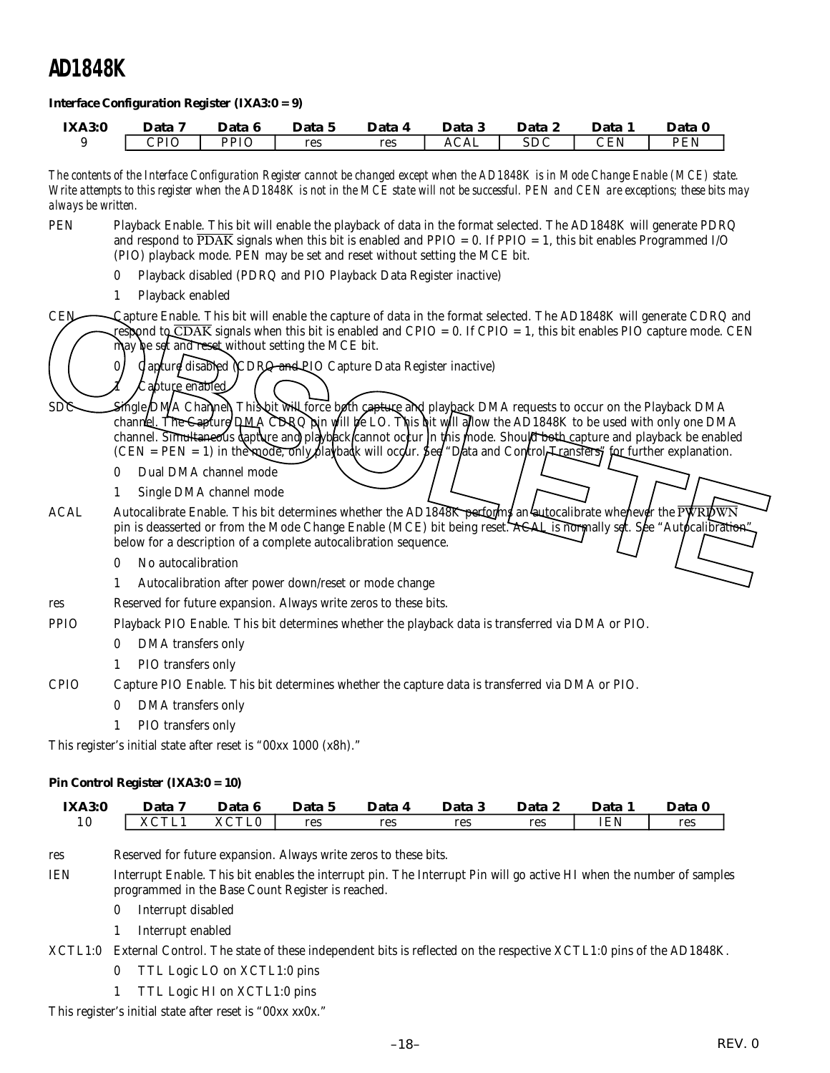#### *Interface Configuration Register (IXA3:0 = 9)*

| <b>IXA3:0</b> | Data 7 | Data 6      | Data<br>C. | Data 4 | Data 3     | Data         | Data.                       | Data 0        |
|---------------|--------|-------------|------------|--------|------------|--------------|-----------------------------|---------------|
|               | CPIO   | <b>PPIO</b> | res        | res    | $\rm ACAL$ | CDC<br>بالاد | $\mathop{\rm CEN}\nolimits$ | DFNI<br>- E.I |

*The contents of the Interface Configuration Register cannot be changed except when the AD1848K is in Mode Change Enable (MCE) state. Write attempts to this register when the AD1848K is not in the MCE state will not be successful. PEN and CEN are exceptions; these bits may always be written.*

- PEN Playback Enable. This bit will enable the playback of data in the format selected. The AD1848K will generate PDRQ and respond to  $\overline{PDAK}$  signals when this bit is enabled and  $PPIO = 0$ . If  $PPIO = 1$ , this bit enables Programmed I/O (PIO) playback mode. PEN may be set and reset without setting the MCE bit.
	- 0 Playback disabled (PDRQ and PIO Playback Data Register inactive)
	- 1 Playback enabled

CEN Capture Enable. This bit will enable the capture of data in the format selected. The AD1848K will generate CDRQ and and to CDAK signals when this bit is enabled and CPIO = 0. If CPIO = 1, this bit enables PIO capture mode. CEN may be set and reset without setting the MCE bit.

 $0/\sigma$  capture disabled (CDRC and PIO Capture Data Register inactive)

apture enabled SDS Single DMA Channel. This but will force both capture and playback DMA requests to occur on the Playback DMA channel. The Capture DMA CDRQ pin will be LO. This hit will allow the AD1848K to be used with only one DMA channel. Simultaneous capture and playback cannot occur in this mode. Should both sapture and playback be enabled  $(CEN = PEN = 1)$  in the mode, only playback will occur. See "Data and Control Transfers" for further explanation. CEN Capture Enable. This bit will enable the capture of data in the format selected. The AD1848K will generate CDRQ and<br>
The specific signals when this bit is enabled and CPIO = 0. If CPIO = 1, this bit enables PIO capture

- 0 Dual DMA channel mode
- 1 Single DMA channel mode
- ACAL Autocalibrate Enable. This bit determines whether the AD1848K performs an autocalibrate whenever the PWRIDWN pin is deasserted or from the Mode Change Enable (MCE) bit being reset. A SAL is normally set. See "Autocalibration" below for a description of a complete autocalibration sequence.
	- 0 No autocalibration
	- 1 Autocalibration after power down/reset or mode change
- res Reserved for future expansion. Always write zeros to these bits.

PPIO Playback PIO Enable. This bit determines whether the playback data is transferred via DMA or PIO.

- 0 DMA transfers only
- 1 PIO transfers only
- CPIO Capture PIO Enable. This bit determines whether the capture data is transferred via DMA or PIO.
	- 0 DMA transfers only
	- 1 PIO transfers only

This register's initial state after reset is "00xx 1000 (x8h)."

#### *Pin Control Register (IXA3:0 = 10)*

| <b>IXA3:0</b> | Data      | Data 6 | Data 5 | Data | <b>Data</b> 5 | Data 2 | <b>Data</b> | Data $\sqrt{ }$ |
|---------------|-----------|--------|--------|------|---------------|--------|-------------|-----------------|
| 1 ∩<br>ΙU     | 20T<br>π. | XCTL0  | res    | res  | res           | res    | <b>IEN</b>  | res             |

res Reserved for future expansion. Always write zeros to these bits.

IEN Interrupt Enable. This bit enables the interrupt pin. The Interrupt Pin will go active HI when the number of samples programmed in the Base Count Register is reached.

0 Interrupt disabled

1 Interrupt enabled

XCTL1:0 External Control. The state of these independent bits is reflected on the respective XCTL1:0 pins of the AD1848K.

- 0 TTL Logic LO on XCTL1:0 pins
- 1 TTL Logic HI on XCTL1:0 pins

This register's initial state after reset is "00xx xx0x."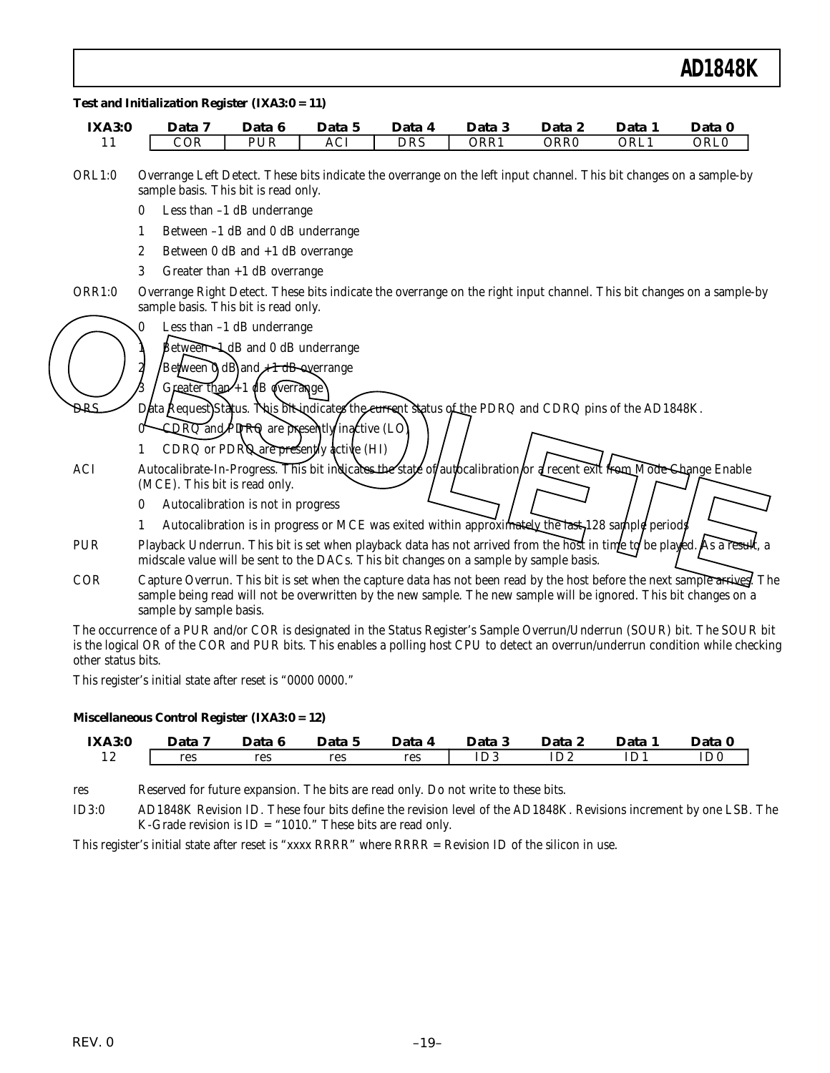| <b>IXA3:0</b> | Data 7                                                                                                                                                                                                                                                                    | Data 6                                              | Data 5 | Data 4     | Data 3                                                                                             | Data 2           | Data 1 | Data 0           |
|---------------|---------------------------------------------------------------------------------------------------------------------------------------------------------------------------------------------------------------------------------------------------------------------------|-----------------------------------------------------|--------|------------|----------------------------------------------------------------------------------------------------|------------------|--------|------------------|
| 11            | COR                                                                                                                                                                                                                                                                       | $P\overline{UR}$                                    | ACI    | <b>DRS</b> | ORR1                                                                                               | ORR <sub>0</sub> | ORL1   | ORL <sub>0</sub> |
| ORL1:0        | Overrange Left Detect. These bits indicate the overrange on the left input channel. This bit changes on a sample-by<br>sample basis. This bit is read only.                                                                                                               |                                                     |        |            |                                                                                                    |                  |        |                  |
|               | $\mathbf{0}$                                                                                                                                                                                                                                                              | Less than -1 dB underrange                          |        |            |                                                                                                    |                  |        |                  |
|               | 1                                                                                                                                                                                                                                                                         | Between -1 dB and 0 dB underrange                   |        |            |                                                                                                    |                  |        |                  |
|               | 2                                                                                                                                                                                                                                                                         | Between $0$ dB and $+1$ dB overrange                |        |            |                                                                                                    |                  |        |                  |
|               | 3                                                                                                                                                                                                                                                                         | Greater than $+1$ dB overrange                      |        |            |                                                                                                    |                  |        |                  |
| <b>ORR1:0</b> | Overrange Right Detect. These bits indicate the overrange on the right input channel. This bit changes on a sample-by<br>sample basis. This bit is read only.                                                                                                             |                                                     |        |            |                                                                                                    |                  |        |                  |
|               |                                                                                                                                                                                                                                                                           | Less than $-1$ dB underrange                        |        |            |                                                                                                    |                  |        |                  |
|               |                                                                                                                                                                                                                                                                           | $\beta$ etween $\rightarrow$ dB and 0 dB underrange |        |            |                                                                                                    |                  |        |                  |
|               |                                                                                                                                                                                                                                                                           | Between d)dB and A 1 dB overrange                   |        |            |                                                                                                    |                  |        |                  |
|               |                                                                                                                                                                                                                                                                           | Greater than $+1$ dB dverrange                      |        |            |                                                                                                    |                  |        |                  |
| <b>DRS</b>    | Data Request) Status. This bit indicates the current sintus of the PDRQ and CDRQ pins of the AD1848K.                                                                                                                                                                     |                                                     |        |            |                                                                                                    |                  |        |                  |
|               |                                                                                                                                                                                                                                                                           | CDRQ and <i>PDRQ</i> are presently inactive (LO)    |        |            |                                                                                                    |                  |        |                  |
|               |                                                                                                                                                                                                                                                                           | CDRQ or PDRQ are presently active (HI)              |        |            |                                                                                                    |                  |        |                  |
| ACI           | Autocalibrate-In-Progress. This bit indicates the state of/autocalibration or a recent exit from Mode Change Enable                                                                                                                                                       |                                                     |        |            |                                                                                                    |                  |        |                  |
|               | (MCE). This bit is read only.                                                                                                                                                                                                                                             |                                                     |        |            |                                                                                                    |                  |        |                  |
|               | 0                                                                                                                                                                                                                                                                         | Autocalibration is not in progress                  |        |            |                                                                                                    |                  |        |                  |
|               | 1                                                                                                                                                                                                                                                                         |                                                     |        |            | Autocalibration is in progress or MCE was exited within approximately the last, 128 sample periods |                  |        |                  |
| <b>PUR</b>    | Playback Underrun. This bit is set when playback data has not arrived from the host in tinte to be played. As a result, a<br>midscale value will be sent to the DACs. This bit changes on a sample by sample basis.                                                       |                                                     |        |            |                                                                                                    |                  |        |                  |
| <b>COR</b>    | Capture Overrun. This bit is set when the capture data has not been read by the host before the next sample arrives. The<br>sample being read will not be overwritten by the new sample. The new sample will be ignored. This bit changes on a<br>sample by sample basis. |                                                     |        |            |                                                                                                    |                  |        |                  |
|               | The eccurrence of a DUD and/or COD is designated in the Status Pegister's Sample Overrun/Underrun (SOUP) bit The SOUP bit                                                                                                                                                 |                                                     |        |            |                                                                                                    |                  |        |                  |

The occurrence of a PUR and/or COR is designated in the Status Register's Sample Overrun/Underrun (SOUR) bit. The SOUR bit is the logical OR of the COR and PUR bits. This enables a polling host CPU to detect an overrun/underrun condition while checking other status bits.

This register's initial state after reset is "0000 0000."

#### *Miscellaneous Control Register (IXA3:0 = 12)*

| <b>IXA3:0</b> | Data 7 | Data 6 | Data 5 | Data 4 | )ata 3 | Data 2 | Data | Data 0 |
|---------------|--------|--------|--------|--------|--------|--------|------|--------|
| ⊥ <i>ы</i>    | res    | res    | res    | res    | ID3    | ID2    |      |        |

res Reserved for future expansion. The bits are read only. Do not write to these bits.

ID3:0 AD1848K Revision ID. These four bits define the revision level of the AD1848K. Revisions increment by one LSB. The K-Grade revision is ID = "1010." These bits are read only.

This register's initial state after reset is "xxxx RRRR" where RRRR = Revision ID of the silicon in use.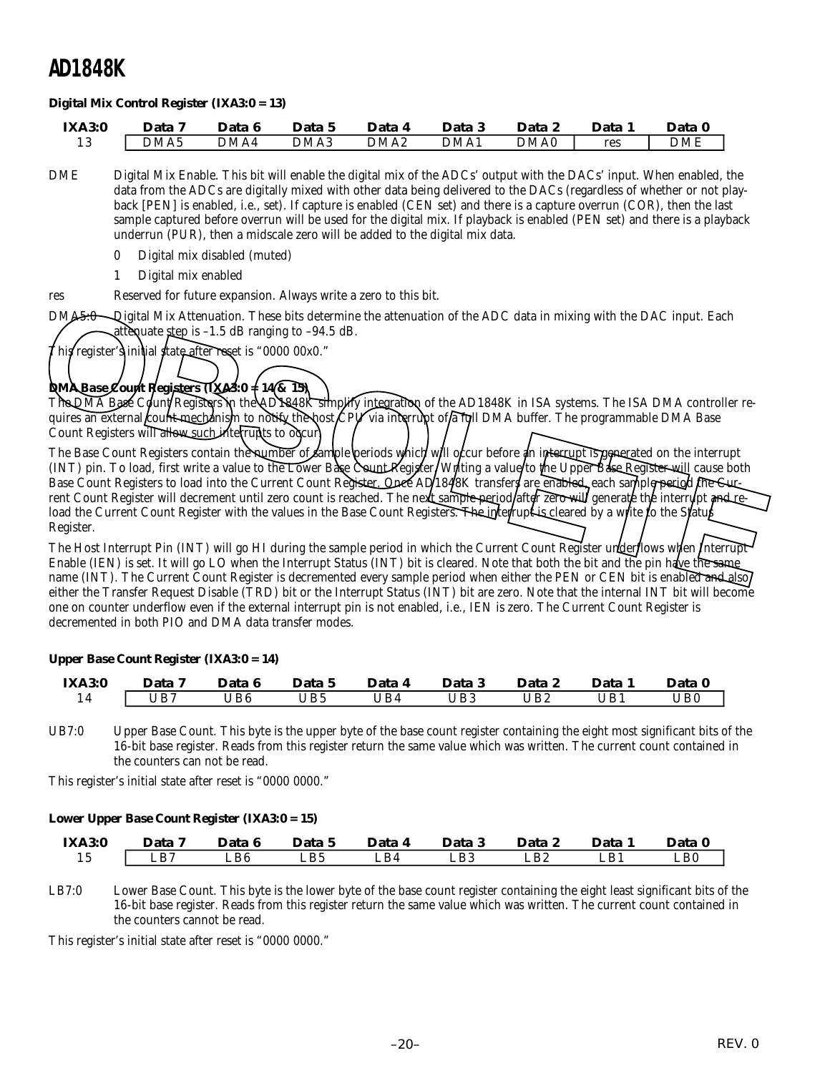#### *Digital Mix Control Register (IXA3:0 = 13)*

| <b>IXA3:0</b> | Data             | Data 6 | Data 5 | Data             | Data 3 | Data 2 | Data | Data 0 |
|---------------|------------------|--------|--------|------------------|--------|--------|------|--------|
|               | DMA <sub>5</sub> | DMA4   | DMA3   | DMA <sub>2</sub> | DMA1   | DMA0   | res  | DME    |

- DME Digital Mix Enable. This bit will enable the digital mix of the ADCs' output with the DACs' input. When enabled, the data from the ADCs are digitally mixed with other data being delivered to the DACs (regardless of whether or not playback [PEN] is enabled, i.e., set). If capture is enabled (CEN set) and there is a capture overrun (COR), then the last sample captured before overrun will be used for the digital mix. If playback is enabled (PEN set) and there is a playback underrun (PUR), then a midscale zero will be added to the digital mix data.
	- 0 Digital mix disabled (muted)
	- 1 Digital mix enabled
- res Reserved for future expansion. Always write a zero to this bit.
- DMA5:0 Digital Mix Attenuation. These bits determine the attenuation of the ADC data in mixing with the DAC input. Each attenuate step is  $-1.5$  dB ranging to  $-94.5$  dB.

This register's initial state after reset is "0000 00x0."

### *DMA Base Count Registers (IXA3:0 = 14 & 15)*

The DMA Base Count Registers in the AD1848K simplify integration of the AD1848K in ISA systems. The ISA DMA controller requires an external count mechanism to notify the host CPV via interrupt of a full DMA buffer. The programmable DMA Base Count Registers will allow such interrupts to odcur.

The Base Count Registers contain the number of sample periods which will occur before an interrupt is generated on the interrupt (INT) pin. To load, first write a value to the Lower Base Count Register. Writing a value to the Upper Base Register will cause both Base Count Registers to load into the Current Count Register. Once AD/1848K transfers are enabled, each sample period the Cur rent Count Register will decrement until zero count is reached. The next sample period after zero will generate the interrupt and reload the Current Count Register with the values in the Base Count Registers. The interrupt is cleared by a write to the Status Register. DMA<del>5.0</del> Digital Mix Attenuation. These bits determine the attenuation of the ADC data in mixing with the DAC input. Each<br>This register's initial state weak is "0000 00x0."<br>The DMA Base Count Registers initial state the tw

The Host Interrupt Pin (INT) will go HI during the sample period in which the Current Count Register underflows when Interrupt Enable (IEN) is set. It will go LO when the Interrupt Status (INT) bit is cleared. Note that both the bit and the pin have the same name (INT). The Current Count Register is decremented every sample period when either the PEN or CEN bit is enabled and also either the Transfer Request Disable (TRD) bit or the Interrupt Status (INT) bit are zero. Note that the internal INT bit will become one on counter underflow even if the external interrupt pin is not enabled, i.e., IEN is zero. The Current Count Register is decremented in both PIO and DMA data transfer modes.

#### *Upper Base Count Register (IXA3:0 = 14)*

| <b>IXA3:0</b> | Data | Data 6 | Data 5 | Data 4 | Data 3 | Data 2 | Data 1 | Data 0 |
|---------------|------|--------|--------|--------|--------|--------|--------|--------|
|               | UB7  | JB6    | IB5    | IB4    | UB3    | UB2    | 'JB1   | 'JB0   |

UB7:0 Upper Base Count. This byte is the upper byte of the base count register containing the eight most significant bits of the 16-bit base register. Reads from this register return the same value which was written. The current count contained in the counters can not be read.

This register's initial state after reset is "0000 0000."

#### *Lower Upper Base Count Register (IXA3:0 = 15)*

| <b>IXA3:0</b> | Data         | Data 6                    | Data 5 | Data 4 | Data 3 | Data 2 | Data 1 | Data 0 |
|---------------|--------------|---------------------------|--------|--------|--------|--------|--------|--------|
| ΙJ            | $L_{\rm B7}$ | $\mathsf{L}\mathsf{B6}^-$ | LB5    | ∟B4    | LB3    | LB2    | LB1    | ∟B0    |

LB7:0 Lower Base Count. This byte is the lower byte of the base count register containing the eight least significant bits of the 16-bit base register. Reads from this register return the same value which was written. The current count contained in the counters cannot be read.

This register's initial state after reset is "0000 0000."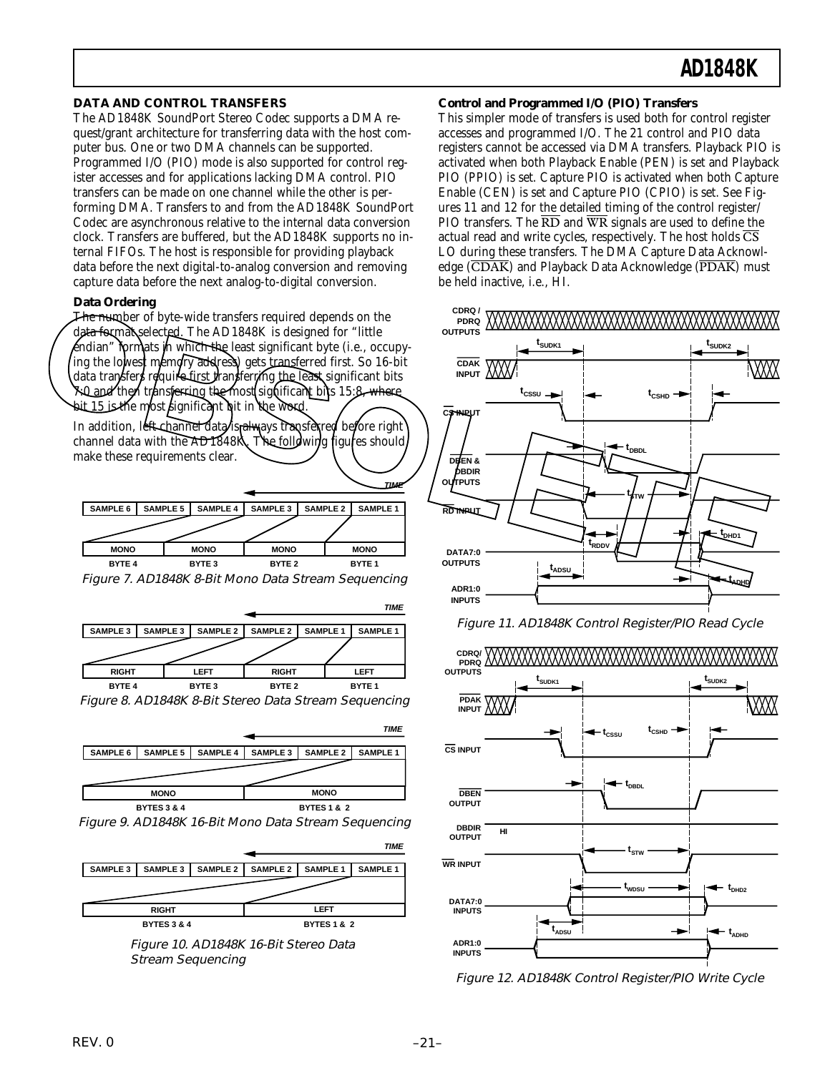#### **DATA AND CONTROL TRANSFERS**

The AD1848K SoundPort Stereo Codec supports a DMA request/grant architecture for transferring data with the host computer bus. One or two DMA channels can be supported. Programmed I/O (PIO) mode is also supported for control register accesses and for applications lacking DMA control. PIO transfers can be made on one channel while the other is performing DMA. Transfers to and from the AD1848K SoundPort Codec are asynchronous relative to the internal data conversion clock. Transfers are buffered, but the AD1848K supports no internal FIFOs. The host is responsible for providing playback data before the next digital-to-analog conversion and removing capture data before the next analog-to-digital conversion.

#### **Data Ordering**

The number of byte-wide transfers required depends on the data format selected. The AD1848K is designed for "little endian" formats in which the least significant byte (i.e., occupying the lowest memory address) gets transferred first. So 16-bit data transfers require first transferming the least significant bits 7:0 and then transferring the most significant bits 15:8, where bit 15 is the most significant bit in the word.

In addition, left-channel data is always transferred before right channel data with the AD1848K. The following figures should make these requirements clear.



Figure 7. AD1848K 8-Bit Mono Data Stream Sequencing



Figure 8. AD1848K 8-Bit Stereo Data Stream Sequencing



Figure 9. AD1848K 16-Bit Mono Data Stream Sequencing



Figure 10. AD1848K 16-Bit Stereo Data Stream Sequencing

#### **Control and Programmed I/O (PIO) Transfers**

This simpler mode of transfers is used both for control register accesses and programmed I/O. The 21 control and PIO data registers cannot be accessed via DMA transfers. Playback PIO is activated when both Playback Enable (PEN) is set and Playback PIO (PPIO) is set. Capture PIO is activated when both Capture Enable (CEN) is set and Capture PIO (CPIO) is set. See Figures 11 and 12 for the detailed timing of the control register/ PIO transfers. The  $\overline{RD}$  and  $\overline{WR}$  signals are used to define the actual read and write cycles, respectively. The host holds  $\overline{\text{CS}}$ LO during these transfers. The DMA Capture Data Acknowledge  $(\overline{CDAK})$  and Playback Data Acknowledge  $(\overline{PDAK})$  must be held inactive, i.e., HI.





Figure 12. AD1848K Control Register/PIO Write Cycle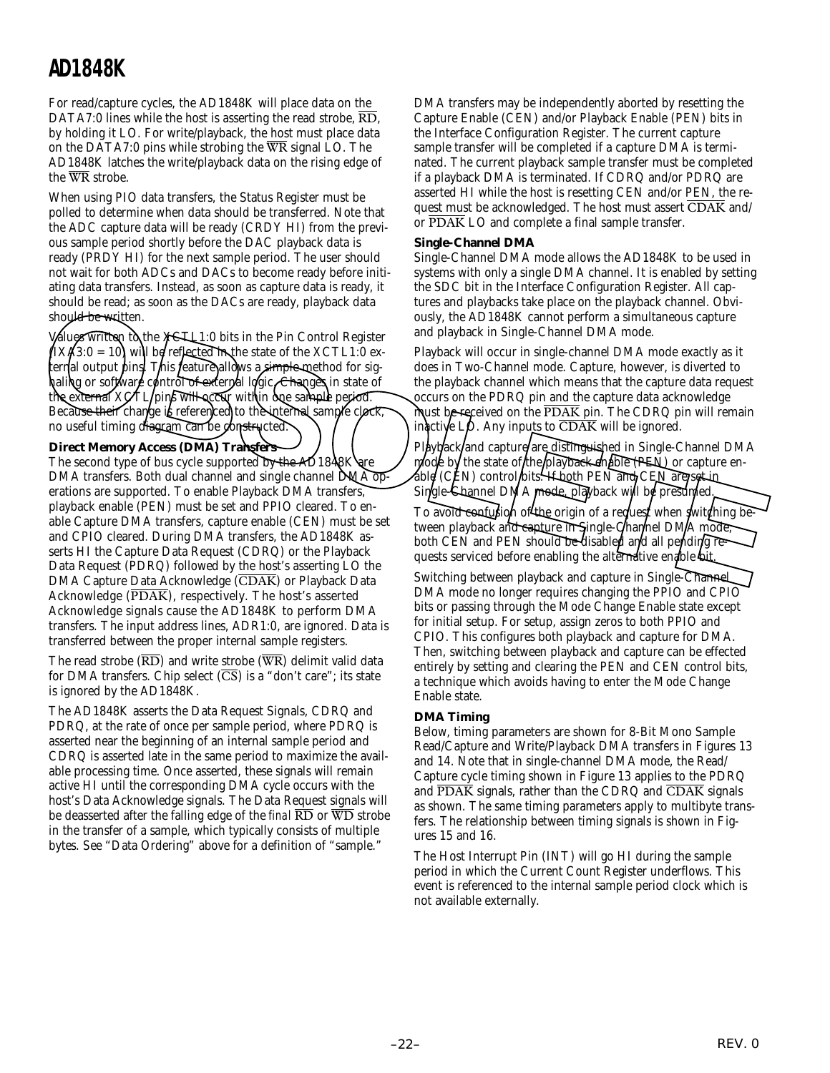For read/capture cycles, the AD1848K will place data on the DATA7:0 lines while the host is asserting the read strobe,  $\overline{RD}$ , by holding it LO. For write/playback, the host must place data on the DATA7:0 pins while strobing the  $\overline{WR}$  signal LO. The AD1848K latches the write/playback data on the rising edge of the WR strobe.

When using PIO data transfers, the Status Register must be polled to determine when data should be transferred. Note that the ADC capture data will be ready (CRDY HI) from the previous sample period shortly before the DAC playback data is ready (PRDY HI) for the next sample period. The user should not wait for both ADCs and DACs to become ready before initiating data transfers. Instead, as soon as capture data is ready, it should be read; as soon as the DACs are ready, playback data should be written.

Values written to the XCTL1:0 bits in the Pin Control Register  $(IX/3:0 = 10)$  will be reflected in the state of the XCTL1:0 external output pins. This feature allows a simple method for sighaling or software control of external logic. Changes in state <u>of</u> the external  $XQTL$  pins will accur within one sample period. Because their change is referenced to the internal sample clock, no useful timing diagram can be constructed.

#### **Direct Memory Access (DMA) Transfers**

The second type of bus cycle supported by the AD1848K are DMA transfers. Both dual channel and single channel DMA operations are supported. To enable Playback DMA transfers, playback enable (PEN) must be set and PPIO cleared. To enable Capture DMA transfers, capture enable (CEN) must be set and CPIO cleared. During DMA transfers, the AD1848K asserts HI the Capture Data Request (CDRQ) or the Playback Data Request (PDRQ) followed by the host's asserting LO the DMA Capture Data Acknowledge (CDAK) or Playback Data Acknowledge (PDAK), respectively. The host's asserted Acknowledge signals cause the AD1848K to perform DMA transfers. The input address lines, ADR1:0, are ignored. Data is transferred between the proper internal sample registers. Should be written. Soon is on Dies are ready, paysions data and pays are the pays are on the pays are the pays and pays are the pays are the pays are the pays and the SCTL of the NCTL of the NCTL of the Section of the Sect

The read strobe  $(\overline{RD})$  and write strobe  $(\overline{WR})$  delimit valid data for DMA transfers. Chip select  $(\overline{CS})$  is a "don't care"; its state is ignored by the AD1848K.

The AD1848K asserts the Data Request Signals, CDRQ and PDRQ, at the rate of once per sample period, where PDRQ is asserted near the beginning of an internal sample period and CDRQ is asserted late in the same period to maximize the available processing time. Once asserted, these signals will remain active HI until the corresponding DMA cycle occurs with the host's Data Acknowledge signals. The Data Request signals will be deasserted after the falling edge of the *final* RD or WD strobe in the transfer of a sample, which typically consists of multiple bytes. See "Data Ordering" above for a definition of "sample."

DMA transfers may be independently aborted by resetting the Capture Enable (CEN) and/or Playback Enable (PEN) bits in the Interface Configuration Register. The current capture sample transfer will be completed if a capture DMA is terminated. The current playback sample transfer must be completed if a playback DMA is terminated. If CDRQ and/or PDRQ are asserted HI while the host is resetting CEN and/or PEN, the request must be acknowledged. The host must assert  $\overline{\text{CDAK}}$  and/ or PDAK LO and complete a final sample transfer.

#### **Single-Channel DMA**

Single-Channel DMA mode allows the AD1848K to be used in systems with only a single DMA channel. It is enabled by setting the SDC bit in the Interface Configuration Register. All captures and playbacks take place on the playback channel. Obviously, the AD1848K cannot perform a simultaneous capture and playback in Single-Channel DMA mode.

Playback will occur in single-channel DMA mode exactly as it does in Two-Channel mode. Capture, however, is diverted to the playback channel which means that the capture data request occurs on the PDRQ pin and the capture data acknowledge must be received on the  $\overline{PDAK}$  pin. The CDRQ pin will remain inactive  $L\phi$ . Any inputs to  $\overline{CDAK}$  will be ignored.

Playback and capture/are, distinguished in Single-Channel DMA mode by the state of the playback enable (PEN) or capture enable (CEN) control bits. If both PEN and CEN are set in Single-Shannel DMA mode, playback will be presumed. To avoid confusion of the origin of a request when switching between playback and capture in Single-Channel DMA mode, both CEN and PEN should be disabled and all pending re-

quests serviced before enabling the alternative enable bit. Switching between playback and capture in Single-Channel DMA mode no longer requires changing the PPIO and CPIO bits or passing through the Mode Change Enable state except for initial setup. For setup, assign zeros to both PPIO and CPIO. This configures both playback and capture for DMA. Then, switching between playback and capture can be effected entirely by setting and clearing the PEN and CEN control bits, a technique which avoids having to enter the Mode Change Enable state.

#### **DMA Timing**

Below, timing parameters are shown for 8-Bit Mono Sample Read/Capture and Write/Playback DMA transfers in Figures 13 and 14. Note that in single-channel DMA mode, the Read/ Capture cycle timing shown in Figure 13 applies to the PDRQ and  $\overline{PDAK}$  signals, rather than the CDRQ and  $\overline{CDAK}$  signals as shown. The same timing parameters apply to multibyte transfers. The relationship between timing signals is shown in Figures 15 and 16.

The Host Interrupt Pin (INT) will go HI during the sample period in which the Current Count Register underflows. This event is referenced to the internal sample period clock which is not available externally.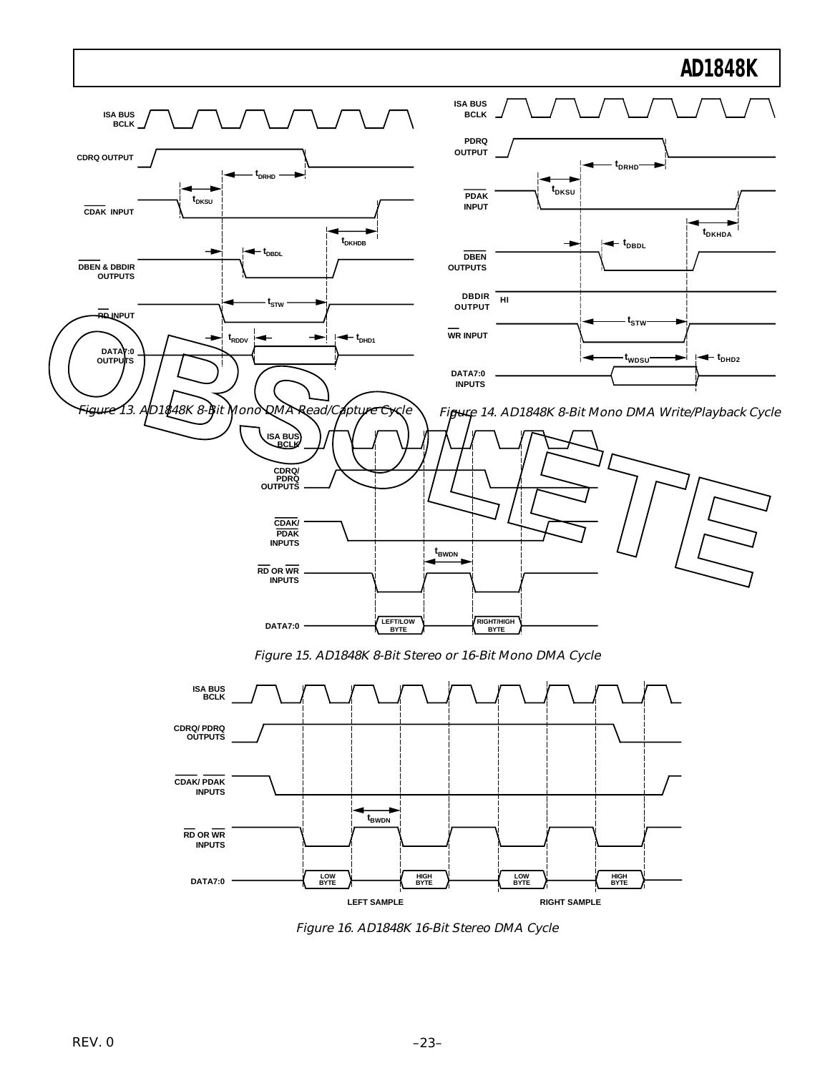



Figure 16. AD1848K 16-Bit Stereo DMA Cycle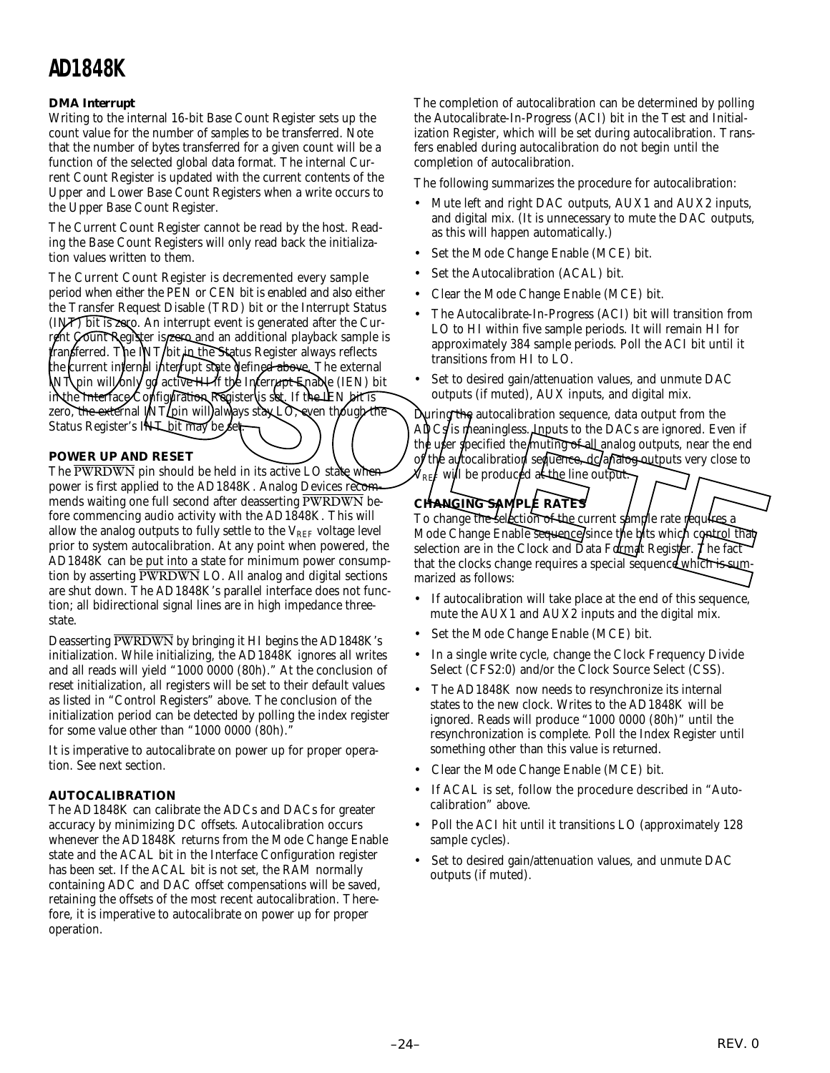#### **DMA Interrupt**

Writing to the internal 16-bit Base Count Register sets up the count value for the number of *samples* to be transferred. Note that the number of bytes transferred for a given count will be a function of the selected global data format. The internal Current Count Register is updated with the current contents of the Upper and Lower Base Count Registers when a write occurs to the Upper Base Count Register.

The Current Count Register cannot be read by the host. Reading the Base Count Registers will only read back the initialization values written to them.

The Current Count Register is decremented every sample period when either the PEN or CEN bit is enabled and also either the Transfer Request Disable (TRD) bit or the Interrupt Status (INT) bit is zero. An interrupt event is generated after the Current Count Register is **zero and** an additional playback sample is transferred. The INT/bit in the Status Register always reflects the current internal interrupt state defined above. The external INT pin will only go active HI if the Interrupt Enable (IEN) bit in the Interface Configuration Register is set. If the IEN bit is zero, the external INT pin will always stay LO, even though the Status Register's INT bit may be set The Autocalibrate-In-Progress (ACI) bit will transition from<br>
In the Sixter Requires Repubblic (TRD) bit is zwep. An interrupt event is generated after the Cur-<br>
The Autocalibrate-In-Progress (ACI) bit will transition from

#### **POWER UP AND RESET**

The PWRDWN pin should be held in its active LO state when power is first applied to the AD1848K. Analog Devices recommends waiting one full second after deasserting PWRDWN before commencing audio activity with the AD1848K. This will allow the analog outputs to fully settle to the  $V_{REF}$  voltage level prior to system autocalibration. At any point when powered, the AD1848K can be put into a state for minimum power consumption by asserting PWRDWN LO. All analog and digital sections are shut down. The AD1848K's parallel interface does not function; all bidirectional signal lines are in high impedance threestate.

Deasserting PWRDWN by bringing it HI begins the AD1848K's initialization. While initializing, the AD1848K ignores all writes and all reads will yield "1000 0000 (80h)." At the conclusion of reset initialization, all registers will be set to their default values as listed in "Control Registers" above. The conclusion of the initialization period can be detected by polling the index register for some value other than "1000 0000 (80h)."

It is imperative to autocalibrate on power up for proper operation. See next section.

#### **AUTOCALIBRATION**

The AD1848K can calibrate the ADCs and DACs for greater accuracy by minimizing DC offsets. Autocalibration occurs whenever the AD1848K returns from the Mode Change Enable state and the ACAL bit in the Interface Configuration register has been set. If the ACAL bit is not set, the RAM normally containing ADC and DAC offset compensations will be saved, retaining the offsets of the most recent autocalibration. Therefore, it is imperative to autocalibrate on power up for proper operation.

The completion of autocalibration can be determined by polling the Autocalibrate-In-Progress (ACI) bit in the Test and Initialization Register, which will be set during autocalibration. Transfers enabled during autocalibration do not begin until the completion of autocalibration.

The following summarizes the procedure for autocalibration:

- Mute left and right DAC outputs, AUX1 and AUX2 inputs, and digital mix. (It is unnecessary to mute the DAC outputs, as this will happen automatically.)
- Set the Mode Change Enable (MCE) bit.
- Set the Autocalibration (ACAL) bit.
- Clear the Mode Change Enable (MCE) bit.
- The Autocalibrate-In-Progress (ACI) bit will transition from LO to HI within five sample periods. It will remain HI for approximately 384 sample periods. Poll the ACI bit until it transitions from HI to LO.
- Set to desired gain/attenuation values, and unmute DAC outputs (if muted), AUX inputs, and digital mix.

During the autocalibration sequence, data output from the  $A\overline{p}Cs$  is meaningless. A puts to the DACs are ignored. Even if the user specified the muting of all analog outputs, near the end  $\alpha$  the autocalibration sequence, de analog outputs very close to  $\mathcal{N}_{\text{RF}}$  will be produced at the line output.

## **CHANGING SAMPLE RATES**

To change the selection of the current sample rate requires a Mode Change Enable sequence/since the bits which control that selection are in the Clock and Data Format Register. The fact that the clocks change requires a special sequence which is summarized as follows:

- If autocalibration will take place at the end of this sequence, mute the AUX1 and AUX2 inputs and the digital mix.
- Set the Mode Change Enable (MCE) bit.
- In a single write cycle, change the Clock Frequency Divide Select (CFS2:0) and/or the Clock Source Select (CSS).
- The AD1848K now needs to resynchronize its internal states to the new clock. Writes to the AD1848K will be ignored. Reads will produce "1000 0000 (80h)" until the resynchronization is complete. Poll the Index Register until something other than this value is returned.
- Clear the Mode Change Enable (MCE) bit.
- If ACAL is set, follow the procedure described in "Autocalibration" above.
- Poll the ACI hit until it transitions LO (approximately 128 sample cycles).
- Set to desired gain/attenuation values, and unmute DAC outputs (if muted).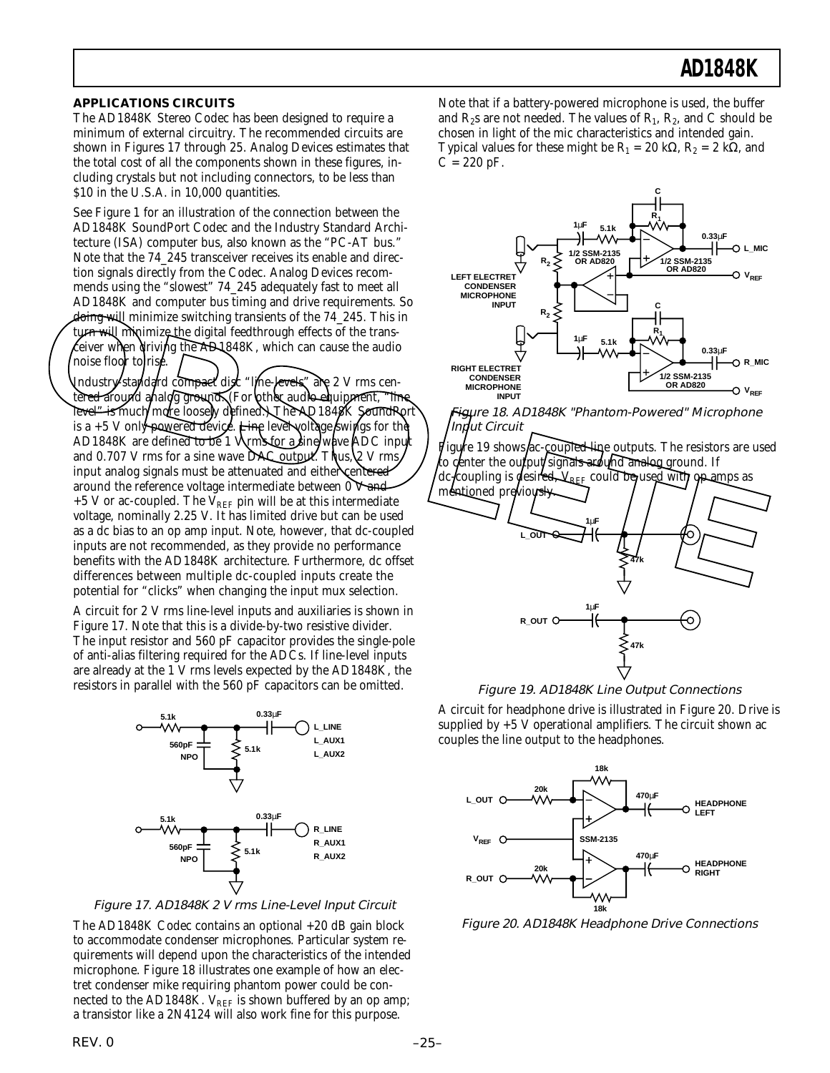#### **APPLICATIONS CIRCUITS**

The AD1848K Stereo Codec has been designed to require a minimum of external circuitry. The recommended circuits are shown in Figures 17 through 25. Analog Devices estimates that the total cost of all the components shown in these figures, including crystals but not including connectors, to be less than \$10 in the U.S.A. in 10,000 quantities.

See Figure 1 for an illustration of the connection between the AD1848K SoundPort Codec and the Industry Standard Architecture (ISA) computer bus, also known as the "PC-AT bus." Note that the 74\_245 transceiver receives its enable and direction signals directly from the Codec. Analog Devices recommends using the "slowest" 74\_245 adequately fast to meet all AD1848K and computer bus timing and drive requirements. So doing will minimize switching transients of the 74\_245. This in turn will minimize the digital feedthrough effects of the transeiver when driving the AD1848K, which can cause the audio noise floor to rise.

Industry-standard compact disc "line-levels" are 2 V rms centered around analog ground. (For other audio equipment, "line level" is much/more loosely defined. The AQ1848K SoundPort is a  $+5$  V only powered device. Line level voltage swings for the AD1848K are defined to be 1 Vyms for a sine wave ADC input and 0.707 V rms for a sine wave DAC output. Thus,  $\&$  V rms input analog signals must be attenuated and either centered around the reference voltage intermediate between  $0$  V and  $+5$  V or ac-coupled. The V<sub>REF</sub> pin will be at this intermediate voltage, nominally 2.25 V. It has limited drive but can be used as a dc bias to an op amp input. Note, however, that dc-coupled inputs are not recommended, as they provide no performance benefits with the AD1848K architecture. Furthermore, dc offset differences between multiple dc-coupled inputs create the potential for "clicks" when changing the input mux selection. The term and only and the starting that showed the starting the starting term and the dechanged by the term of the starting term of the starting of the starting term of the starting term of the starting term of the startin

A circuit for 2 V rms line-level inputs and auxiliaries is shown in Figure 17. Note that this is a divide-by-two resistive divider. The input resistor and 560 pF capacitor provides the single-pole of anti-alias filtering required for the ADCs. If line-level inputs are already at the 1 V rms levels expected by the AD1848K, the resistors in parallel with the 560 pF capacitors can be omitted.



Figure 17. AD1848K 2 V rms Line-Level Input Circuit

The AD1848K Codec contains an optional +20 dB gain block to accommodate condenser microphones. Particular system requirements will depend upon the characteristics of the intended microphone. Figure 18 illustrates one example of how an electret condenser mike requiring phantom power could be connected to the AD1848K.  $V_{REF}$  is shown buffered by an op amp; a transistor like a 2N4124 will also work fine for this purpose.

Note that if a battery-powered microphone is used, the buffer and  $R_2$ s are not needed. The values of  $R_1$ ,  $R_2$ , and C should be chosen in light of the mic characteristics and intended gain. Typical values for these might be  $R_1 = 20$  k $\Omega$ ,  $R_2 = 2$  k $\Omega$ , and  $C = 220$  pF.



Figure 18. AD1848K "Phantom-Powered" Microphone Input Circuit

igure 19 shows ac-coupled line outputs. The resistors are used to center the output/signals around analog-ground. If dc-coupling is desired,  $\forall_{\text{REF}}$  could be used with op amps as



Figure 19. AD1848K Line Output Connections

A circuit for headphone drive is illustrated in Figure 20. Drive is supplied by  $+5$  V operational amplifiers. The circuit shown ac couples the line output to the headphones.



Figure 20. AD1848K Headphone Drive Connections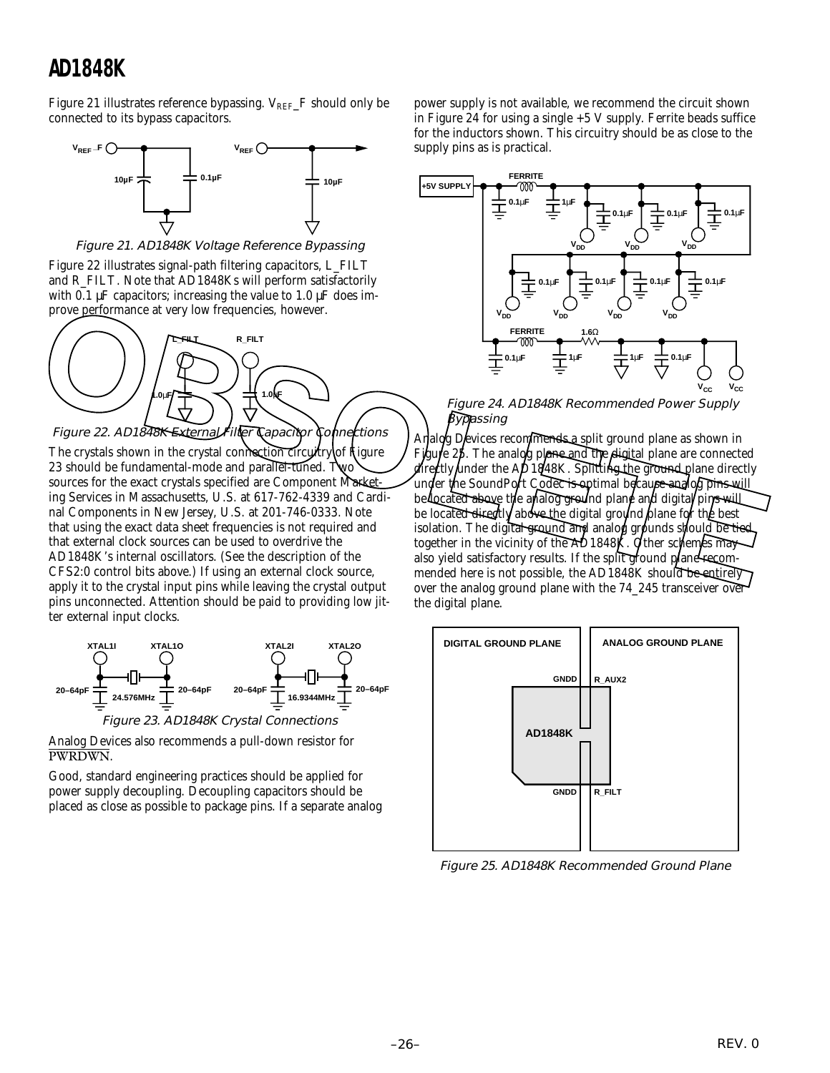Figure 21 illustrates reference bypassing.  $V_{REF}$  F should only be connected to its bypass capacitors.



Figure 21. AD1848K Voltage Reference Bypassing

Figure 22 illustrates signal-path filtering capacitors, L\_FILT and R\_FILT. Note that AD1848Ks will perform satisfactorily with 0.1  $\mu$ F capacitors; increasing the value to 1.0  $\mu$ F does improve performance at very low frequencies, however.



Figure 22. AD1848K External Filter Capacitor Connections

The crystals shown in the crystal connection circuitry of fligure 23 should be fundamental-mode and parallel-tuned. Two sources for the exact crystals specified are Component Marketing Services in Massachusetts, U.S. at 617-762-4339 and Cardinal Components in New Jersey, U.S. at 201-746-0333. Note that using the exact data sheet frequencies is not required and that external clock sources can be used to overdrive the AD1848K's internal oscillators. (See the description of the CFS2:0 control bits above.) If using an external clock source, apply it to the crystal input pins while leaving the crystal output pins unconnected. Attention should be paid to providing low jitter external input clocks.



Analog Devices also recommends a pull-down resistor for PWRDWN.

Good, standard engineering practices should be applied for power supply decoupling. Decoupling capacitors should be placed as close as possible to package pins. If a separate analog

power supply is not available, we recommend the circuit shown in Figure 24 for using a single +5 V supply. Ferrite beads suffice for the inductors shown. This circuitry should be as close to the supply pins as is practical.



Figure 24. AD1848K Recommended Power Supply  $\sharp$ yp $h$ ssing

Analog Devices recommends a split ground plane as shown in Figure 25. The analog plane and the digital plane are connected directly under the AD1848K. Splitting the ground plane directly under the SoundPort Codec is optimal because analog pins will be located above the analog ground plane and digital pins will be locate<del>d direct</del>ly abo<del>ve t</del>he digital ground plane for the best isolation. The digital ground and analog grounds should be tied together in the vicinity of the  $AD1848K$ . Other schemes may also yield satisfactory results. If the split ground plane recommended here is not possible, the AD1848K should be entirely over the analog ground plane with the 74\_245 transceiver over the digital plane. prove performance at very low frequencies, however.<br>
Figure 24. AD1848K Recommended Power Supply<br>
Figure 22. AD1848K External Hill to applicate the department of the AD1848K Recommended Power Supply<br>
Figure 22. AD1848K Ex



Figure 25. AD1848K Recommended Ground Plane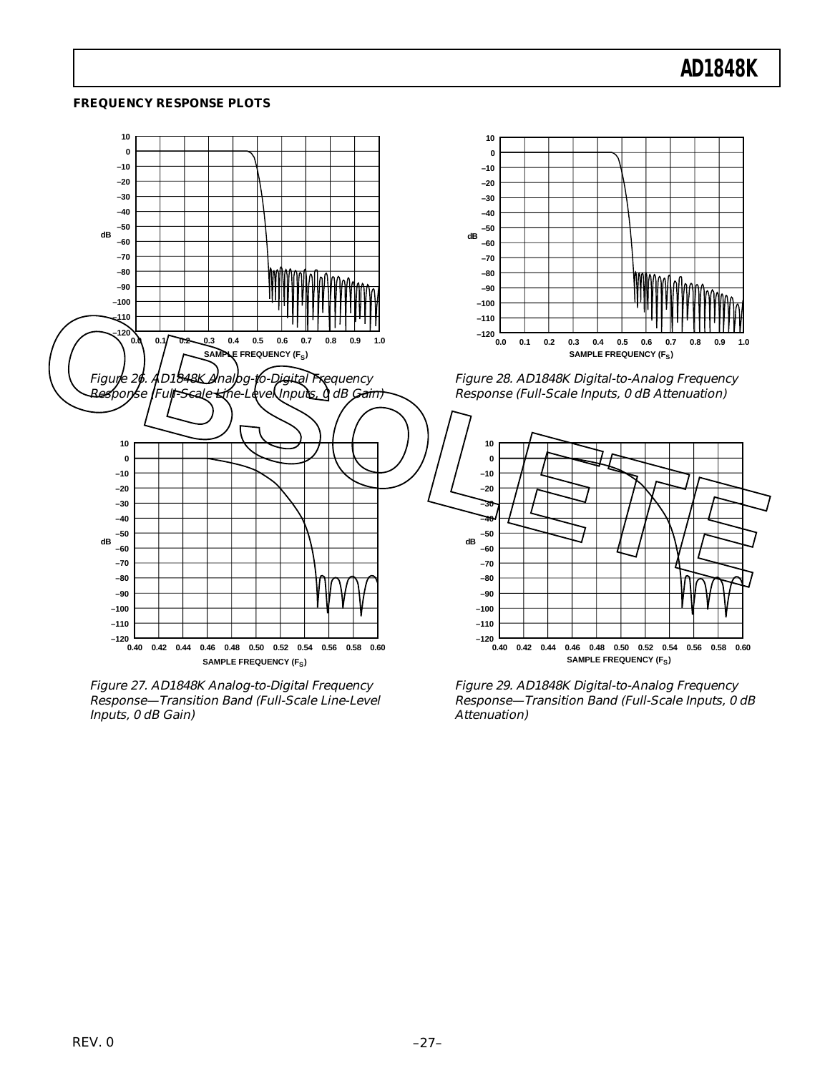#### **FREQUENCY RESPONSE PLOTS**



Figure 27. AD1848K Analog-to-Digital Frequency Response—Transition Band (Full-Scale Line-Level Inputs, 0 dB Gain)

Figure 29. AD1848K Digital-to-Analog Frequency Response—Transition Band (Full-Scale Inputs, 0 dB Attenuation)